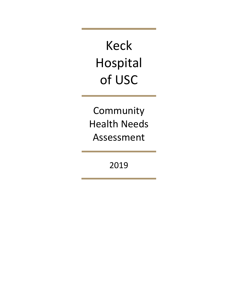Keck Hospital of USC

Community Health Needs Assessment

2019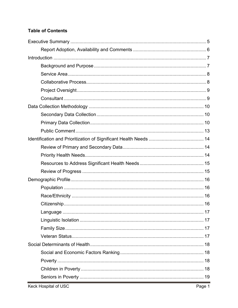# **Table of Contents**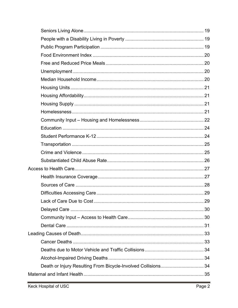| Lack of Care Due to Cost                                      | 29 |
|---------------------------------------------------------------|----|
|                                                               |    |
|                                                               |    |
|                                                               |    |
|                                                               |    |
|                                                               |    |
|                                                               |    |
|                                                               |    |
| Death or Injury Resulting From Bicycle-Involved Collisions 34 |    |
|                                                               |    |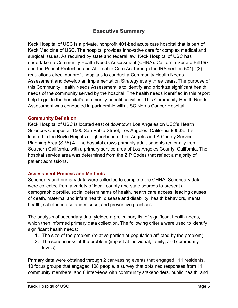# **Executive Summary**

<span id="page-5-0"></span>Keck Hospital of USC is a private, nonprofit 401-bed acute care hospital that is part of Keck Medicine of USC. The hospital provides innovative care for complex medical and surgical issues. As required by state and federal law, Keck Hospital of USC has undertaken a Community Health Needs Assessment (CHNA). California Senate Bill 697 and the Patient Protection and Affordable Care Act through the IRS section 501(r)(3) regulations direct nonprofit hospitals to conduct a Community Health Needs Assessment and develop an Implementation Strategy every three years. The purpose of this Community Health Needs Assessment is to identify and prioritize significant health needs of the community served by the hospital. The health needs identified in this report help to guide the hospital's community benefit activities. This Community Health Needs Assessment was conducted in partnership with USC Norris Cancer Hospital.

### **Community Definition**

Keck Hospital of USC is located east of downtown Los Angeles on USC's Health Sciences Campus at 1500 San Pablo Street, Los Angeles, California 90033. It is located in the Boyle Heights neighborhood of Los Angeles in LA County Service Planning Area (SPA) 4. The hospital draws primarily adult patients regionally from Southern California, with a primary service area of Los Angeles County, California. The hospital service area was determined from the ZIP Codes that reflect a majority of patient admissions.

## **Assessment Process and Methods**

Secondary and primary data were collected to complete the CHNA. Secondary data were collected from a variety of local, county and state sources to present a demographic profile, social determinants of health, health care access, leading causes of death, maternal and infant health, disease and disability, health behaviors, mental health, substance use and misuse, and preventive practices.

The analysis of secondary data yielded a preliminary list of significant health needs, which then informed primary data collection. The following criteria were used to identify significant health needs:

- 1. The size of the problem (relative portion of population afflicted by the problem)
- 2. The seriousness of the problem (impact at individual, family, and community levels)

Primary data were obtained through 2 canvassing events that engaged 111 residents, 10 focus groups that engaged 108 people, a survey that obtained responses from 11 community members, and 8 interviews with community stakeholders, public health, and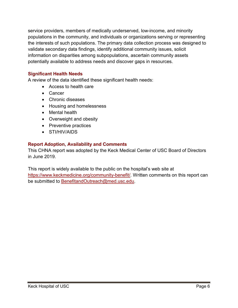service providers, members of medically underserved, low-income, and minority populations in the community, and individuals or organizations serving or representing the interests of such populations. The primary data collection process was designed to validate secondary data findings, identify additional community issues, solicit information on disparities among subpopulations, ascertain community assets potentially available to address needs and discover gaps in resources.

## **Significant Health Needs**

A review of the data identified these significant health needs:

- Access to health care
- Cancer
- Chronic diseases
- Housing and homelessness
- Mental health
- Overweight and obesity
- Preventive practices
- STI/HIV/AIDS

## <span id="page-6-0"></span>**Report Adoption, Availability and Comments**

This CHNA report was adopted by the Keck Medical Center of USC Board of Directors in June 2019.

This report is widely available to the public on the hospital's web site at [https://www.keckmedicine.org/community-benefit/.](https://www.keckmedicine.org/community-benefit/) Written comments on this report can be submitted to [BenefitandOutreach@med.usc.edu.](mailto:BenefitandOutreach@med.usc.edu)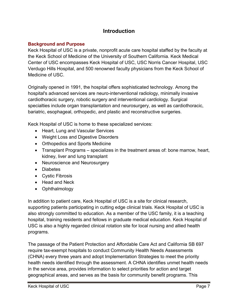# **Introduction**

## <span id="page-7-1"></span><span id="page-7-0"></span>**Background and Purpose**

Keck Hospital of USC is a private, nonprofit acute care hospital staffed by the faculty at the Keck School of Medicine of the University of Southern California. Keck Medical Center of USC encompasses Keck Hospital of USC, USC Norris Cancer Hospital, USC Verdugo Hills Hospital, and 500 renowned faculty physicians from the Keck School of Medicine of USC.

Originally opened in 1991, the hospital offers sophisticated technology. Among the hospital's advanced services are neuro-interventional radiology, minimally invasive cardiothoracic surgery, robotic surgery and interventional cardiology. Surgical specialties include organ transplantation and neurosurgery, as well as [cardiothoracic,](http://www.uscuniversityhospital.org/uscuh/services/heart-and-lung-services/cardiothoracic-surgery) [bariatric,](http://www.uscuniversityhospital.org/uscuh/services/weight-loss-and-digestive-disorders/bariatrics) esophageal, orthopedic, and plastic and reconstructive surgeries.

Keck Hospital of USC is home to these specialized services:

- Heart, Lung and Vascular Services
- Weight Loss and Digestive Disorders
- Orthopedics and Sports Medicine
- Transplant Programs specializes in the treatment areas of: bone marrow, heart, kidney, liver and lung transplant
- Neuroscience and Neurosurgery
- Diabetes
- Cystic Fibrosis
- Head and Neck
- Ophthalmology

In addition to patient care, Keck Hospital of USC is a site for clinical research, supporting patients participating in cutting edge clinical trials. Keck Hospital of USC is also strongly committed to education. As a member of the USC family, it is a teaching hospital, training residents and fellows in graduate medical education. Keck Hospital of USC is also a highly regarded clinical rotation site for local nursing and allied health programs.

The passage of the Patient Protection and Affordable Care Act and California SB 697 require tax-exempt hospitals to conduct Community Health Needs Assessments (CHNA) every three years and adopt Implementation Strategies to meet the priority health needs identified through the assessment. A CHNA identifies unmet health needs in the service area, provides information to select priorities for action and target geographical areas, and serves as the basis for community benefit programs. This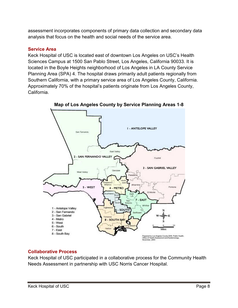assessment incorporates components of primary data collection and secondary data analysis that focus on the health and social needs of the service area.

## <span id="page-8-0"></span>**Service Area**

Keck Hospital of USC is located east of downtown Los Angeles on USC's Health Sciences Campus at 1500 San Pablo Street, Los Angeles, California 90033. It is located in the Boyle Heights neighborhood of Los Angeles in LA County Service Planning Area (SPA) 4. The hospital draws primarily adult patients regionally from Southern California, with a primary service area of Los Angeles County, California. Approximately 70% of the hospital's patients originate from Los Angeles County, California.



**Map of Los Angeles County by Service Planning Areas 1-8**

# <span id="page-8-1"></span>**Collaborative Process**

Keck Hospital of USC participated in a collaborative process for the Community Health Needs Assessment in partnership with USC Norris Cancer Hospital.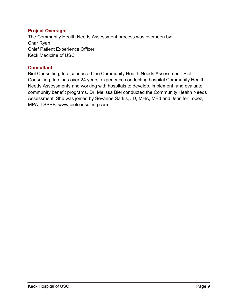## <span id="page-9-0"></span>**Project Oversight**

The Community Health Needs Assessment process was overseen by: Char Ryan Chief Patient Experience Officer Keck Medicine of USC

## <span id="page-9-1"></span>**Consultant**

Biel Consulting, Inc. conducted the Community Health Needs Assessment. Biel Consulting, Inc. has over 24 years' experience conducting hospital Community Health Needs Assessments and working with hospitals to develop, implement, and evaluate community benefit programs. Dr. Melissa Biel conducted the Community Health Needs Assessment. She was joined by Sevanne Sarkis, JD, MHA, MEd and Jennifer Lopez, MPA, LSSBB. [www.bielconsulting.com](http://www.bielconsulting.com/)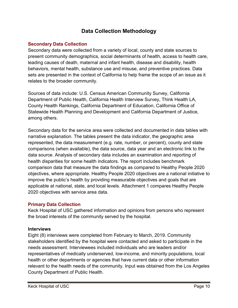# **Data Collection Methodology**

## <span id="page-10-1"></span><span id="page-10-0"></span>**Secondary Data Collection**

Secondary data were collected from a variety of local, county and state sources to present community demographics, social determinants of health, access to health care, leading causes of death, maternal and infant health, disease and disability, health behaviors, mental health, substance use and misuse, and preventive practices. Data sets are presented in the context of California to help frame the scope of an issue as it relates to the broader community.

Sources of data include: U.S. Census American Community Survey, California Department of Public Health, California Health Interview Survey, Think Health LA, County Health Rankings, California Department of Education, California Office of Statewide Health Planning and Development and California Department of Justice, among others.

Secondary data for the service area were collected and documented in data tables with narrative explanation. The tables present the data indicator, the geographic area represented, the data measurement (e.g. rate, number, or percent), county and state comparisons (when available), the data source, data year and an electronic link to the data source. Analysis of secondary data includes an examination and reporting of health disparities for some health indicators. The report includes benchmark comparison data that measure the data findings as compared to Healthy People 2020 objectives, where appropriate. Healthy People 2020 objectives are a national initiative to improve the public's health by providing measurable objectives and goals that are applicable at national, state, and local levels. Attachment 1 compares Healthy People 2020 objectives with service area data.

# <span id="page-10-2"></span>**Primary Data Collection**

Keck Hospital of USC gathered information and opinions from persons who represent the broad interests of the community served by the hospital.

## **Interviews**

Eight (8) interviews were completed from February to March, 2019. Community stakeholders identified by the hospital were contacted and asked to participate in the needs assessment. Interviewees included individuals who are leaders and/or representatives of medically underserved, low-income, and minority populations, local health or other departments or agencies that have current data or other information relevant to the health needs of the community. Input was obtained from the Los Angeles County Department of Public Health.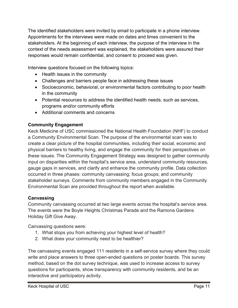The identified stakeholders were invited by email to participate in a phone interview. Appointments for the interviews were made on dates and times convenient to the stakeholders. At the beginning of each interview, the purpose of the interview in the context of the needs assessment was explained, the stakeholders were assured their responses would remain confidential, and consent to proceed was given.

Interview questions focused on the following topics:

- Health issues in the community
- Challenges and barriers people face in addressing these issues
- Socioeconomic, behavioral, or environmental factors contributing to poor health in the community
- Potential resources to address the identified health needs, such as services, programs and/or community efforts
- Additional comments and concerns

# **Community Engagement**

Keck Medicine of USC commissioned the National Health Foundation (NHF) to conduct a Community Environmental Scan. The purpose of the environmental scan was to create a clear picture of the hospital communities, including their social, economic and physical barriers to healthy living, and engage the community for their perspectives on these issues. The Community Engagement Strategy was designed to gather community input on disparities within the hospital's service area, understand community resources, gauge gaps in services, and clarify and enhance the community profile. Data collection occurred in three phases: community canvassing; focus groups; and community stakeholder surveys. Comments from community members engaged in the Community Environmental Scan are provided throughout the report when available.

# **Canvassing**

Community canvassing occurred at two large events across the hospital's service area. The events were the Boyle Heights Christmas Parade and the Ramona Gardens Holiday Gift Give Away.

Canvassing questions were:

- 1. What stops you from achieving your highest level of health?
- 2. What does your community need to be healthier?

The canvassing events engaged 111 residents in a self-service survey where they could write and place answers to three open-ended questions on poster boards. This survey method, based on the dot survey technique, was used to increase access to survey questions for participants, show transparency with community residents, and be an interactive and participatory activity.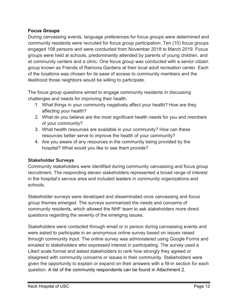## **Focus Groups**

During canvassing events, language preferences for focus groups were determined and community residents were recruited for focus group participation. Ten (10) focus groups engaged 108 persons and were conducted from November 2018 to March 2019. Focus groups were held at schools, predominantly attended by parents of young children, and at community centers and a clinic. One focus group was conducted with a senior citizen group known as Friends of Ramona Gardens at their local adult recreation center. Each of the locations was chosen for its ease of access to community members and the likelihood those neighbors would be willing to participate.

The focus group questions aimed to engage community residents in discussing challenges and needs for improving their health.

- 1. What things in your community negatively affect your health? How are they affecting your health?
- 2. What do you believe are the most significant health needs for you and members of your community?
- 3. What health resources are available in your community? How can these resources better serve to improve the health of your community?
- 4. Are you aware of any resources in the community being provided by the hospital? What would you like to see them provide?

# **Stakeholder Surveys**

Community stakeholders were identified during community canvassing and focus group recruitment. The responding eleven stakeholders represented a broad range of interest in the hospital's service area and included leaders in community organizations and schools.

Stakeholder surveys were developed and disseminated once canvassing and focus group themes emerged. The surveys summarized the needs and concerns of community residents, which allowed the NHF team to ask stakeholders more direct questions regarding the severity of the emerging issues.

Stakeholders were contacted through email or in person during canvassing events and were asked to participate in an anonymous online survey based on issues raised through community input. The online survey was administered using Google Forms and emailed to stakeholders who expressed interest in participating. The survey used a Likert scale format and asked stakeholders to rank how strongly they agreed or disagreed with community concerns or issues in their community. Stakeholders were given the opportunity to explain or expand on their answers with a fill-in section for each question. A list of the community respondents can be found in Attachment 2.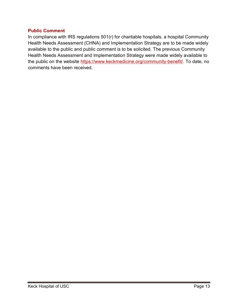### <span id="page-13-0"></span>**Public Comment**

In compliance with IRS regulations 501(r) for charitable hospitals, a hospital Community Health Needs Assessment (CHNA) and Implementation Strategy are to be made widely available to the public and public comment is to be solicited. The previous Community Health Needs Assessment and Implementation Strategy were made widely available to the public on the website [https://www.keckmedicine.org/community-benefit/.](https://www.keckmedicine.org/community-benefit/) To date, no comments have been received.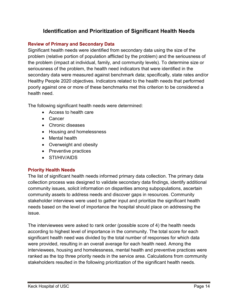# **Identification and Prioritization of Significant Health Needs**

## <span id="page-14-1"></span><span id="page-14-0"></span>**Review of Primary and Secondary Data**

Significant health needs were identified from secondary data using the size of the problem (relative portion of population afflicted by the problem) and the seriousness of the problem (impact at individual, family, and community levels). To determine size or seriousness of the problem, the health need indicators that were identified in the secondary data were measured against benchmark data; specifically, state rates and/or Healthy People 2020 objectives. Indicators related to the health needs that performed poorly against one or more of these benchmarks met this criterion to be considered a health need.

The following significant health needs were determined:

- Access to health care
- Cancer
- Chronic diseases
- Housing and homelessness
- Mental health
- Overweight and obesity
- Preventive practices
- STI/HIV/AIDS

# <span id="page-14-2"></span>**Priority Health Needs**

The list of significant health needs informed primary data collection. The primary data collection process was designed to validate secondary data findings, identify additional community issues, solicit information on disparities among subpopulations, ascertain community assets to address needs and discover gaps in resources. Community stakeholder interviews were used to gather input and prioritize the significant health needs based on the level of importance the hospital should place on addressing the issue.

The interviewees were asked to rank order (possible score of 4) the health needs according to highest level of importance in the community. The total score for each significant health need was divided by the total number of responses for which data were provided, resulting in an overall average for each health need. Among the interviewees, housing and homelessness, mental health and preventive practices were ranked as the top three priority needs in the service area. Calculations from community stakeholders resulted in the following prioritization of the significant health needs.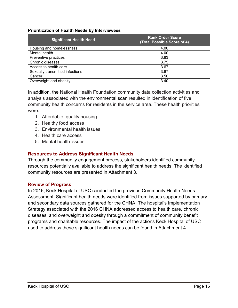#### **Prioritization of Health Needs by Interviewees**

| <b>Significant Health Need</b>  | <b>Rank Order Score</b><br>(Total Possible Score of 4) |
|---------------------------------|--------------------------------------------------------|
| Housing and homelessness        | 4.00                                                   |
| Mental health                   | 4.00                                                   |
| Preventive practices            | 3.83                                                   |
| Chronic diseases                | 3.75                                                   |
| Access to health care           | 3.67                                                   |
| Sexually transmitted infections | 3.67                                                   |
| Cancer                          | 3.50                                                   |
| Overweight and obesity          | 3.40                                                   |

In addition, the National Health Foundation community data collection activities and analysis associated with the environmental scan resulted in identification of five community health concerns for residents in the service area. These health priorities were:

- 1. Affordable, quality housing
- 2. Healthy food access
- 3. Environmental health issues
- 4. Health care access
- 5. Mental health issues

## <span id="page-15-0"></span>**Resources to Address Significant Health Needs**

Through the community engagement process, stakeholders identified community resources potentially available to address the significant health needs. The identified community resources are presented in Attachment 3.

## <span id="page-15-1"></span>**Review of Progress**

In 2016, Keck Hospital of USC conducted the previous Community Health Needs Assessment. Significant health needs were identified from issues supported by primary and secondary data sources gathered for the CHNA. The hospital's Implementation Strategy associated with the 2016 CHNA addressed access to health care, chronic diseases, and overweight and obesity through a commitment of community benefit programs and charitable resources. The impact of the actions Keck Hospital of USC used to address these significant health needs can be found in Attachment 4.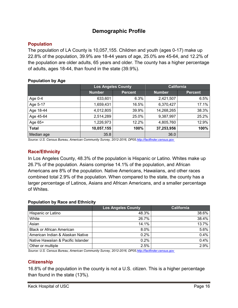# **Demographic Profile**

# <span id="page-16-1"></span><span id="page-16-0"></span>**Population**

The population of LA County is 10,057,155. Children and youth (ages 0-17) make up 22.8% of the population, 39.9% are 18-44 years of age, 25.0% are 45-64, and 12.2% of the population are older adults, 65 years and older. The county has a higher percentage of adults, ages 18-44, than found in the state (39.9%).

### **Population by Age**

|              | <b>Los Angeles County</b> |                | <b>California</b> |                |
|--------------|---------------------------|----------------|-------------------|----------------|
|              | <b>Number</b>             | <b>Percent</b> | <b>Number</b>     | <b>Percent</b> |
| Age $0-4$    | 633,601                   | 6.3%           | 2,421,507         | 6.5%           |
| Age 5-17     | 1,659,431                 | 16.5%          | 6,370,427         | 17.1%          |
| Age 18-44    | 4,012,805                 | 39.9%          | 14,268,265        | 38.3%          |
| Age 45-64    | 2,514,289                 | 25.0%          | 9,387,997         | 25.2%          |
| Age $65+$    | 1,226,973                 | 12.2%          | 4,805,760         | 12.9%          |
| <b>Total</b> | 10,057,155                | 100%           | 37,253,956        | 100%           |
| Median age   | 35.8                      |                | 36.0              |                |

*Source: U.S. Census Bureau, American Community Survey, 2012-2016, DP05[.http://factfinder.census.gov](http://factfinder.census.gov/)*

# <span id="page-16-2"></span>**Race/Ethnicity**

In Los Angeles County, 48.3% of the population is Hispanic or Latino. Whites make up 26.7% of the population. Asians comprise 14.1% of the population, and African Americans are 8% of the population. Native Americans, Hawaiians, and other races combined total 2.9% of the population. When compared to the state, the county has a larger percentage of Latinos, Asians and African Americans, and a smaller percentage of Whites.

## **Population by Race and Ethnicity**

|                                    | <b>Los Angeles County</b> | <b>California</b> |
|------------------------------------|---------------------------|-------------------|
| Hispanic or Latino                 | 48.3%                     | 38.6%             |
| White                              | 26.7%                     | 38.4%             |
| Asian                              | 14.1%                     | 13.7%             |
| <b>Black or African American</b>   | $8.0\%$                   | 5.6%              |
| American Indian & Alaskan Native   | 0.2%                      | 0.4%              |
| Native Hawaiian & Pacific Islander | 0.2%                      | 0.4%              |
| Other or multiple                  | 2.5%                      | 2.9%              |

*Source: U.S. Census Bureau, American Community Survey, 2012-2016, DP0[5.http://factfinder.census.gov](http://factfinder.census.gov/)*

## <span id="page-16-3"></span>**Citizenship**

16.8% of the population in the county is not a U.S. citizen. This is a higher percentage than found in the state (13%).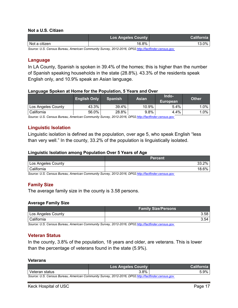#### **Not a U.S. Citizen**

|               | <b>Los Angeles County</b> | <b>California</b> |
|---------------|---------------------------|-------------------|
| Not a citizen | 16.8%                     | 0%                |

*Source: U.S. Census Bureau, American Community Survey, 2012-2016, DP0[2.http://factfinder.census.gov](http://factfinder.census.gov/)*

#### <span id="page-17-0"></span>**Language**

In LA County, Spanish is spoken in 39.4% of the homes; this is higher than the number of Spanish speaking households in the state (28.8%). 43.3% of the residents speak English only, and 10.9% speak an Asian language.

#### **Language Spoken at Home for the Population, 5 Years and Over**

|                    | <b>English Only</b> | <b>Spanish</b> | <b>Asian</b> | Indo-<br>European | <b>Other</b> |
|--------------------|---------------------|----------------|--------------|-------------------|--------------|
| Los Angeles County | 43.3%               | 39.4%          | 10.9%        | 5.4%              | $.0\%$       |
| California         | 56.0%               | 28.8%          | $9.8\%$      | 4.4%              | $.0\%$       |

*Source: U.S. Census Bureau, American Community Survey, 2012-2016, DP0[2.http://factfinder.census.gov](http://factfinder.census.gov/)*

#### <span id="page-17-1"></span>**Linguistic Isolation**

Linguistic isolation is defined as the population, over age 5, who speak English "less than very well." In the county, 33.2% of the population is linguistically isolated.

#### **Linguistic Isolation among Population Over 5 Years of Age**

|                    | <b>Percent</b>        |
|--------------------|-----------------------|
| Los Angeles County | 00∕<br>מכי<br>70      |
| California         | 00 <sup>2</sup><br>70 |

*Source: U.S. Census Bureau, American Community Survey, 2012-2016, DP0[2.http://factfinder.census.gov](http://factfinder.census.gov/)*

## <span id="page-17-2"></span>**Family Size**

The average family size in the county is 3.58 persons.

#### **Average Family Size**

|                    | <b>Family Size/Persons</b> |
|--------------------|----------------------------|
| Los Angeles County | 3.58                       |
| California         | 3.54                       |

*Source: U.S. Census Bureau, American Community Survey, 2012-2016, DP0[2.http://factfinder.census.gov](http://factfinder.census.gov/)*

#### <span id="page-17-3"></span>**Veteran Status**

In the county, 3.8% of the population, 18 years and older, are veterans. This is lower than the percentage of veterans found in the state (5.9%).

#### **Veterans**

|                                                                                                     | <b>Los Angeles County</b> | <b>California</b> |
|-----------------------------------------------------------------------------------------------------|---------------------------|-------------------|
| Veteran status                                                                                      | 3.8%                      | $5.9\%$           |
| Source: U.S. Census Bureau, American Community Survey, 2012-2016, DP02.http://factfinder.census.gov |                           |                   |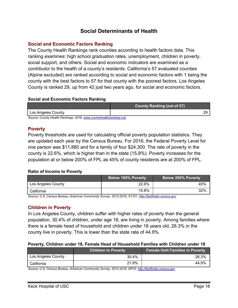# **Social Determinants of Health**

## <span id="page-18-1"></span><span id="page-18-0"></span>**Social and Economic Factors Ranking**

The County Health Rankings rank counties according to health factors data. This ranking examines: high school graduation rates, unemployment, children in poverty, social support, and others. Social and economic indicators are examined as a contributor to the health of a county's residents. California's 57 evaluated counties (Alpine excluded) are ranked according to social and economic factors with 1 being the county with the best factors to 57 for that county with the poorest factors. Los Angeles County is ranked 29, up from 42 just two years ago, for social and economic factors.

#### **Social and Economic Factors Ranking**

|                                                                    | <b>County Ranking (out of 57)</b> |
|--------------------------------------------------------------------|-----------------------------------|
| Los Angeles County                                                 |                                   |
| Source: County Health Rankings, 2018. www.countyhealthrankings.org |                                   |

#### <span id="page-18-2"></span>**Poverty**

Poverty thresholds are used for calculating official poverty population statistics. They are updated each year by the Census Bureau. For 2016, the Federal Poverty Level for one person was \$11,880 and for a family of four \$24,300. The rate of poverty in the county is 22.6%, which is higher than in the state (15.8%). Poverty increases for the population at or below 200% of FPL as 45% of county residents are at 200% of FPL.

## **Ratio of Income to Poverty**

|                    | <b>Below 100% Poverty</b> | <b>Below 200% Poverty</b> |
|--------------------|---------------------------|---------------------------|
| Los Angeles County | 22.6%                     | 45%                       |
| California         | 15.8%                     | 32%                       |

*Source: U.S. Census Bureau, American Community Survey, 2012-2016, S1701[. http://factfinder.census.gov](http://factfinder.census.gov/)*

## <span id="page-18-3"></span>**Children in Poverty**

In Los Angeles County, children suffer with higher rates of poverty than the general population. 30.4% of children, under age 18, are living in poverty. Among families where there is a female head of household and children under 18 years old, 26.3% in the county live in poverty. This is lower than the state rate of 44.9%.

#### **Poverty, Children under 18, Female Head of Household Families with Children under 18**

|                    | <b>Children in Poverty</b> | <b>Female HoH Families in Poverty</b> |
|--------------------|----------------------------|---------------------------------------|
| Los Angeles County | 30.4%                      | 26.3%                                 |
| California         | 21.9%                      | 44.9%                                 |

*Source: U.S. Census Bureau, American Community Survey, 2012-2016, DP03[. http://factfinder.census.gov](http://factfinder.census.gov/)*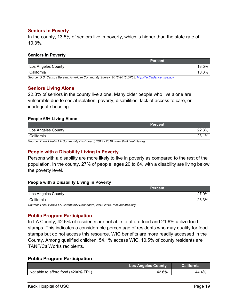### <span id="page-19-0"></span>**Seniors in Poverty**

In the county, 13.5% of seniors live in poverty, which is higher than the state rate of 10.3%.

#### **Seniors in Poverty**

|                    | <b>Percent</b> |
|--------------------|----------------|
| Los Angeles County | 13.5%          |
| l California       | 10.3%          |

*Source: U.S. Census Bureau, American Community Survey, 2012-2016 DP03. [http://factfinder.census.gov](http://factfinder.census.gov/)*

### <span id="page-19-1"></span>**Seniors Living Alone**

22.3% of seniors in the county live alone. Many older people who live alone are vulnerable due to social isolation, poverty, disabilities, lack of access to care, or inadequate housing.

#### **People 65+ Living Alone**

|                    | <b>Percent</b> ' |
|--------------------|------------------|
| Los Angeles County | 22.3%            |
| California         | 1%<br>າາ         |

*Source: Think Health LA Community Dashboard, 2012 - 2016. www.thinkhealthla.org*

## <span id="page-19-2"></span>**People with a Disability Living in Poverty**

Persons with a disability are more likely to live in poverty as compared to the rest of the population. In the county, 27% of people, ages 20 to 64, with a disability are living below the poverty level.

#### **People with a Disability Living in Poverty**

|                    | <b>Percent</b> |
|--------------------|----------------|
| Los Angeles County | 0%             |
| California         | 26.3%          |

*Source: Think Health LA Community Dashboard, 2012-2016. thinkhealthla.org*

#### <span id="page-19-3"></span>**Public Program Participation**

In LA County, 42.6% of residents are not able to afford food and 21.6% utilize food stamps. This indicates a considerable percentage of residents who may qualify for food stamps but do not access this resource. WIC benefits are more readily accessed in the County. Among qualified children, 54.1% access WIC. 10.5% of county residents are TANF/CalWorks recipients.

#### **Public Program Participation**

|                                     | <b>Los Angeles County</b> | <b>California</b> |
|-------------------------------------|---------------------------|-------------------|
| Not able to afford food (<200% FPL) | 42.6%                     | 44.4%             |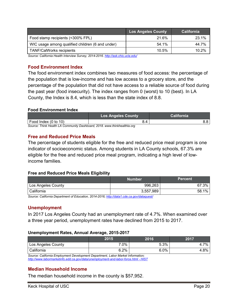|                                                  | <b>Los Angeles County</b> | <b>California</b> |
|--------------------------------------------------|---------------------------|-------------------|
| Food stamp recipients (<300% FPL)                | 21.6%                     | 23.1%             |
| WIC usage among qualified children (6 and under) | 54.1%                     | 44.7%             |
| <b>TANF/CalWorks recipients</b>                  | 10.5%                     | 10.2%             |

*Source: California Health Interview Survey, 2014-2016[. http://ask.chis.ucla.edu/](http://ask.chis.ucla.edu/)*

### <span id="page-20-0"></span>**Food Environment Index**

The food environment index combines two measures of food access: the percentage of the population that is low-income and has low access to a grocery store, and the percentage of the population that did not have access to a reliable source of food during the past year (food insecurity). The index ranges from 0 (worst) to 10 (best). In LA County, the Index is 8.4, which is less than the state index of 8.8.

#### **Food Environment Index**

|                                                                           | <b>Los Angeles County</b> | <b>California</b> |  |
|---------------------------------------------------------------------------|---------------------------|-------------------|--|
| Food Index (0 to 10)                                                      | 3.4                       |                   |  |
| Source: Think Health I A Community Dashboard, 2018, www.thinkhealthla.org |                           |                   |  |

*Source: Think Health LA Community Dashboard, 2018. www.thinkhealthla.org*

#### <span id="page-20-1"></span>**Free and Reduced Price Meals**

The percentage of students eligible for the free and reduced price meal program is one indicator of socioeconomic status. Among students in LA County schools, 67.3% are eligible for the free and reduced price meal program, indicating a high level of lowincome families.

#### **Free and Reduced Price Meals Eligibility**

|                    | Number    | <b>Percent</b> |
|--------------------|-----------|----------------|
| Los Angeles County | 996,263   | 67.3%          |
| California         | 3,557,989 | 1%<br>58.1     |

*Source: [California](http://nces.ed.gov/ccd/pubschuniv.asp) Department of Education, 2014-2016[; http://data1.cde.ca.gov/dataquest/](http://data1.cde.ca.gov/dataquest/)*

#### <span id="page-20-2"></span>**Unemployment**

In 2017 Los Angeles County had an unemployment rate of 4.7%. When examined over a three year period, unemployment rates have declined from 2015 to 2017.

#### **Unemployment Rates, Annual Average, 2015-2017**

|                                                                                 | 2015    | 2016    | 2017 |
|---------------------------------------------------------------------------------|---------|---------|------|
| Los Angeles County                                                              | 7.0%    | 5.3%    | 4.7% |
| l California                                                                    | $6.2\%$ | $6.0\%$ | 4.8% |
| Source: California Employment Development Department, Labor Market Information; |         |         |      |

*[http://www.labormarketinfo.edd.ca.gov/data/unemployment-and-labor-force.html -](http://www.labormarketinfo.edd.ca.gov/data/unemployment-and-labor-force.html#HIST) HIST*

## <span id="page-20-3"></span>**Median Household Income**

The median household income in the county is \$57,952.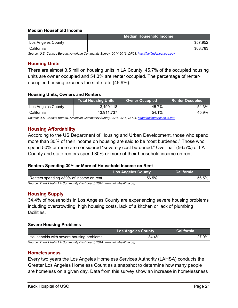#### **Median Household Income**

|                    | Median Household Income                                                                              |          |
|--------------------|------------------------------------------------------------------------------------------------------|----------|
| Los Angeles County |                                                                                                      | \$57,952 |
| I California       |                                                                                                      | \$63,783 |
|                    | Source: U.S. Census Rureau, American Community Survey, 2014-2016, DP03, http://factfinder.census.gov |          |

*Source: U.S. Census Bureau, American Community Survey, 2014-2016, DP03[. http://factfinder.census.gov](http://factfinder.census.gov/)*

## <span id="page-21-0"></span>**Housing Units**

There are almost 3.5 million housing units in LA County. 45.7% of the occupied housing units are owner occupied and 54.3% are renter occupied. The percentage of renteroccupied housing exceeds the state rate (45.9%).

#### **Housing Units, Owners and Renters**

|                    | <b>Total Housing Units</b> | <b>Owner Occupied</b> | <b>Renter Occupied</b> |
|--------------------|----------------------------|-----------------------|------------------------|
| Los Angeles County | 3,490,118                  | 45.7%                 | 54.3%                  |
| California         | 13,911,737                 | 54.1%                 | 45.9%                  |

*Source: U.S. Census Bureau, American Community Survey, 2014-2016, DP04[. http://factfinder.census.gov](http://factfinder.census.gov/)*

### <span id="page-21-1"></span>**Housing Affordability**

According to the US Department of Housing and Urban Development, those who spend more than 30% of their income on housing are said to be "cost burdened." Those who spend 50% or more are considered "severely cost burdened." Over half (56.5%) of LA County and state renters spend 30% or more of their household income on rent.

#### **Renters Spending 30% or More of Household Income on Rent**

|                                                                          | <b>Los Angeles County</b> | <b>California</b> |
|--------------------------------------------------------------------------|---------------------------|-------------------|
| Renters spending > 30% of income on rent                                 | 56.5%                     | 56.5% l           |
| Source: Think Health LA Community Dashboard, 2016, www.thinkhealthla.org |                           |                   |

## <span id="page-21-2"></span>**Housing Supply**

34.4% of households in Los Angeles County are experiencing severe housing problems including overcrowding, high housing costs, lack of a kitchen or lack of plumbing facilities.

#### **Severe Housing Problems**

|                                                                           | <b>Los Angeles County</b> | <b>California</b> |
|---------------------------------------------------------------------------|---------------------------|-------------------|
| Households with severe housing problems                                   | 34.4%                     | 27.9% l           |
| Source: Think Haalth I A Community Dashboard, 2014, www.thinkhaalthla.org |                           |                   |

*Source: Think Health LA Community Dashboard, 2014. www.thinkhealthla.org*

#### <span id="page-21-3"></span>**Homelessness**

Every two years the Los Angeles Homeless Services Authority (LAHSA) conducts the Greater Los Angeles Homeless Count as a snapshot to determine how many people are homeless on a given day. Data from this survey show an increase in homelessness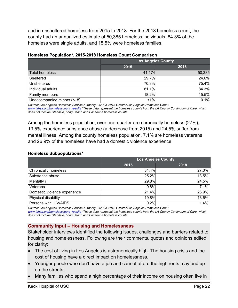and in unsheltered homeless from 2015 to 2018. For the 2018 homeless count, the county had an annualized estimate of 50,385 homeless individuals. 84.3% of the homeless were single adults, and 15.5% were homeless families.

|                            | <b>Los Angeles County</b> |        |
|----------------------------|---------------------------|--------|
|                            | 2015                      | 2018   |
| <b>Total homeless</b>      | 41,174                    | 50,385 |
| Sheltered                  | 29.7%                     | 24.6%  |
| Unsheltered                | 70.3%                     | 75.4%  |
| Individual adults          | 81.1%                     | 84.3%  |
| Family members             | 18.2%                     | 15.5%  |
| Unaccompanied minors (<18) | $1\%$                     | 0.1%   |

#### **Homeless Population\*, 2015-2018 Homeless Count Comparison**

*Source: Los Angeles Homeless Service Authority, 2015 & 2018 Greater Los Angeles Homeless Count. [www.lahsa.org/homelesscount\\_results](http://www.lahsa.org/homelesscount_results) \*These data represent the homeless counts from the LA County Continuum of Care, which does not include Glendale, Long Beach and Pasadena homeless counts.*

Among the homeless population, over one-quarter are chronically homeless (27%), 13.5% experience substance abuse (a decrease from 2015) and 24.5% suffer from mental illness. Among the county homeless population, 7.1% are homeless veterans and 26.9% of the homeless have had a domestic violence experience.

#### **Homeless Subpopulations\***

|                              | <b>Los Angeles County</b> |       |
|------------------------------|---------------------------|-------|
|                              | 2015                      | 2018  |
| <b>Chronically homeless</b>  | 34.4%                     | 27.0% |
| Substance abuse              | 25.2%                     | 13.5% |
| Mentally ill                 | 29.8%                     | 24.5% |
| Veterans                     | 9.8%                      | 7.1%  |
| Domestic violence experience | 21.4%                     | 26.9% |
| Physical disability          | 19.8%                     | 13.6% |
| Persons with HIV/AIDS        | 0.2%                      | 1.4%  |

*Source: Los Angeles Homeless Service Authority, 2015 & 2018 Greater Los Angeles Homeless Count. [www.lahsa.org/homelesscount\\_results](http://www.lahsa.org/homelesscount_results) \*These data represent the homeless counts from the LA County Continuum of Care, which does not include Glendale, Long Beach and Pasadena homeless counts.*

#### <span id="page-22-0"></span>**Community Input – Housing and Homelessness**

Stakeholder interviews identified the following issues, challenges and barriers related to housing and homelessness. Following are their comments, quotes and opinions edited for clarity:

- The cost of living in Los Angeles is astronomically high. The housing crisis and the cost of housing have a direct impact on homelessness.
- Younger people who don't have a job and cannot afford the high rents may end up on the streets.
- Many families who spend a high percentage of their income on housing often live in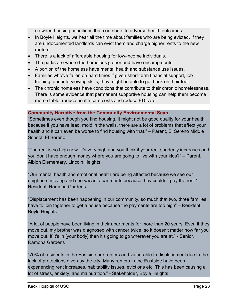crowded housing conditions that contribute to adverse health outcomes.

- In Boyle Heights, we hear all the time about families who are being evicted. If they are undocumented landlords can evict them and charge higher rents to the new renters.
- There is a lack of affordable housing for low-income individuals.
- The parks are where the homeless gather and have encampments.
- A portion of the homeless have mental health and substance use issues.
- Families who've fallen on hard times if given short-term financial support, job training, and interviewing skills, they might be able to get back on their feet.
- The chronic homeless have conditions that contribute to their chronic homelessness. There is some evidence that permanent supportive housing can help them become more stable, reduce health care costs and reduce ED care.

## **Community Narrative from the Community Environmental Scan**

"Sometimes even though you find housing, it might not be good quality for your health because if you have lead, mold in the walls, there are a lot of problems that affect your health and it can even be worse to find housing with that." – Parent, El Sereno Middle School, El Sereno

"The rent is so high now. It's very high and you think if your rent suddenly increases and you don't have enough money where you are going to live with your kids?" – Parent, Albion Elementary, Lincoln Heights

"Our mental health and emotional health are being affected because we see our neighbors moving and see vacant apartments because they couldn't pay the rent." – Resident, Ramona Gardens

"Displacement has been happening in our community, so much that two, three families have to join together to get a house because the payments are too high" – Resident, Boyle Heights

"A lot of people have been living in their apartments for more than 20 years. Even if they move out, my brother was diagnosed with cancer twice, so it doesn't matter how far you move out. If it's in [your body] then it's going to go wherever you are at." - Senior, Ramona Gardens

"70% of residents in the Eastside are renters and vulnerable to displacement due to the lack of protections given by the city. Many renters in the Eastside have been experiencing rent increases, habitability issues, evictions etc. This has been causing a lot of stress, anxiety, and malnutrition." - Stakeholder, Boyle Heights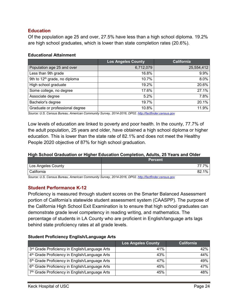## <span id="page-24-0"></span>**Education**

Of the population age 25 and over, 27.5% have less than a high school diploma. 19.2% are high school graduates, which is lower than state completion rates (20.6%).

#### **Educational Attainment**

|                                           | <b>Los Angeles County</b> | <b>California</b> |
|-------------------------------------------|---------------------------|-------------------|
| Population age 25 and over                | 6,712,079                 | 25,554,412        |
| Less than 9th grade                       | 16.8%                     | 9.9%              |
| 9th to 12 <sup>th</sup> grade, no diploma | 10.7%                     | 8.0%              |
| High school graduate                      | 19.2%                     | 20.6%             |
| Some college, no degree                   | 17.6%                     | 27.1%             |
| Associate degree                          | 5.2%                      | 7.8%              |
| Bachelor's degree                         | 19.7%                     | 20.1%             |
| Graduate or professional degree           | 10.8%                     | 11.9%             |

*Source: U.S. Census Bureau, American Community Survey, 2014-2016, DP02[. http://factfinder.census.gov](http://factfinder.census.gov/)*

Low levels of education are linked to poverty and poor health. In the county, 77.7% of the adult population, 25 years and older, have obtained a high school diploma or higher education. This is lower than the state rate of 82.1% and does not meet the Healthy People 2020 objective of 87% for high school graduation.

#### **High School Graduation or Higher Education Completion, Adults, 25 Years and Older**

|                    | <b>Percent</b> |
|--------------------|----------------|
| Los Angeles County | 7%             |
| California         | 1%<br>82.      |

*Source: U.S. Census Bureau, American Community Survey, 2014-2016, DP02[. http://factfinder.census.gov](http://factfinder.census.gov/)*

#### <span id="page-24-1"></span>**Student Performance K-12**

Proficiency is measured through student scores on the Smarter Balanced Assessment portion of California's statewide student assessment system (CAASPP). The purpose of the California High School Exit Examination is to ensure that high school graduates can demonstrate grade level competency in reading writing, and mathematics. The percentage of students in LA County who are proficient in English/language arts lags behind state proficiency rates at all grade levels.

#### **Student Proficiency English/Language Arts**

|                                                            | <b>Los Angeles County</b> | California |
|------------------------------------------------------------|---------------------------|------------|
| 3rd Grade Proficiency in English/Language Arts             | 41%                       | 42%        |
| 4 <sup>th</sup> Grade Proficiency in English/Language Arts | 43%                       | 44%        |
| 5 <sup>th</sup> Grade Proficiency in English/Language Arts | 47%                       | 49%        |
| 6 <sup>th</sup> Grade Proficiency in English/Language Arts | 45%                       | 47%        |
| 7th Grade Proficiency in English/Language Arts             | 45%                       | 48%        |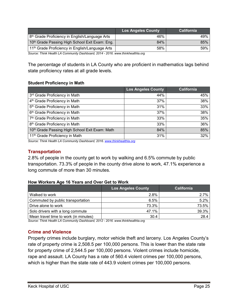|                                                             | <b>Los Angeles County</b> | <b>California</b> |
|-------------------------------------------------------------|---------------------------|-------------------|
| 8 <sup>th</sup> Grade Proficiency in English/Language Arts  | 46%                       | 49%               |
| 10 <sup>th</sup> Grade Passing High School Exit Exam: Eng.  | 84%                       | 85%               |
| 11 <sup>th</sup> Grade Proficiency in English/Language Arts | 58%                       | 59%               |

*Source: Think Health LA Community Dashboard, 2014 - 2016. www.thinkhealthla.org*

The percentage of students in LA County who are proficient in mathematics lags behind state proficiency rates at all grade levels.

#### **Student Proficiency in Math**

|                                                | <b>Los Angeles County</b> | <b>California</b> |
|------------------------------------------------|---------------------------|-------------------|
| 3rd Grade Proficiency in Math                  | 44%                       | 45%               |
| 4 <sup>th</sup> Grade Proficiency in Math      | 37%                       | 38%               |
| 5 <sup>th</sup> Grade Proficiency in Math      | 31%                       | 33%               |
| 6 <sup>th</sup> Grade Proficiency in Math      | 37%                       | 38%               |
| 7 <sup>th</sup> Grade Proficiency in Math      | 33%                       | 35%               |
| 8 <sup>th</sup> Grade Proficiency in Math      | 33%                       | 36%               |
| 10th Grade Passing High School Exit Exam: Math | 84%                       | 85%               |
| 11 <sup>th</sup> Grade Proficiency in Math     | 31%                       | 32%               |

*Source: Think Health LA Community Dashboard, 2016[. www.thinkhealthla.org](http://www.thinkhealthla.org/)*

## <span id="page-25-0"></span>**Transportation**

2.8% of people in the county get to work by walking and 6.5% commute by public transportation. 73.3% of people in the county drive alone to work, 47.1% experience a long commute of more than 30 minutes.

#### **How Workers Age 16 Years and Over Get to Work**

|                                       | <b>Los Angeles County</b> | <b>California</b> |
|---------------------------------------|---------------------------|-------------------|
| Walked to work                        | 2.8%                      | 2.7%              |
| Commuted by public transportation     | 6.5%                      | 5.2%              |
| Drive alone to work                   | 73.3%                     | 73.5%             |
| Solo drivers with a long commute      | 47.1%                     | 39.3%             |
| Mean travel time to work (in minutes) | 30.4                      | 28.4              |

*Source: Think Health LA Community Dashboard, 2012 - 2016. www.thinkhealthla.org*

#### <span id="page-25-1"></span>**Crime and Violence**

Property crimes include burglary, motor vehicle theft and larceny. Los Angeles County's rate of property crime is 2,508.5 per 100,000 persons. This is lower than the state rate for property crime of 2,544.5 per 100,000 persons. Violent crimes include homicide, rape and assault. LA County has a rate of 560.4 violent crimes per 100,000 persons, which is higher than the state rate of 443.9 violent crimes per 100,000 persons.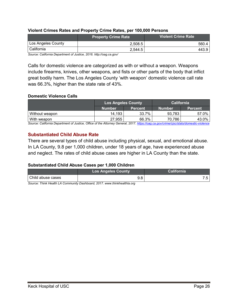#### **Violent Crimes Rates and Property Crime Rates, per 100,000 Persons**

|                                                          | <b>Property Crime Rate</b> | Violent Crime Rate |
|----------------------------------------------------------|----------------------------|--------------------|
| Los Angeles County                                       | 2.508.5                    | 560.4              |
| l California                                             | 2.544.5                    | 443.9              |
| $\sim$ $\sim$<br>$\overline{\phantom{0}}$<br>$\sim$<br>. | <b>AAIA</b> 1.11 11        |                    |

*Source: California Department of Justice, 2016. http://oag.ca.gov/*

Calls for domestic violence are categorized as with or without a weapon. Weapons include firearms, knives, other weapons, and fists or other parts of the body that inflict great bodily harm. The Los Angeles County 'with weapon' domestic violence call rate was 66.3%, higher than the state rate of 43%.

#### **Domestic Violence Calls**

|                | <b>Los Angeles County</b> |                | <b>California</b> |                |
|----------------|---------------------------|----------------|-------------------|----------------|
|                | Number                    | <b>Percent</b> | Number            | <b>Percent</b> |
| Without weapon | 14.193                    | 33.7%          | 93.783            | 57.0%          |
| With weapon    | 27.955                    | 66.3%          | 70,786            | 43.0%          |

*Source: California Department of Justice, Office of the Attorney General, 2017. <https://oag.ca.gov/crime/cjsc/stats/domestic-violence>*

### <span id="page-26-0"></span>**Substantiated Child Abuse Rate**

There are several types of child abuse including physical, sexual, and emotional abuse. In LA County, 9.8 per 1,000 children, under 18 years of age, have experienced abuse and neglect. The rates of child abuse cases are higher in LA County than the state.

#### **Substantiated Child Abuse Cases per 1,000 Children**

|                   | <b>Los Angeles County</b> | California |  |
|-------------------|---------------------------|------------|--|
| Child abuse cases | 9.8                       |            |  |

*Source: Think Health LA Community Dashboard, 2017. www.thinkhealthla.org*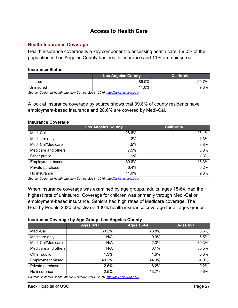# **Access to Health Care**

#### <span id="page-27-1"></span><span id="page-27-0"></span>**Health Insurance Coverage**

Health insurance coverage is a key component to accessing health care. 89.0% of the population in Los Angeles County has health insurance and 11% are uninsured.

#### **Insurance Status**

|           | <b>Los Angeles County</b> | <b>California</b> |
|-----------|---------------------------|-------------------|
| Insured   | 89.0%                     | 7%<br>90.7        |
| Uninsured | 11.0%                     | 9.3%              |

*Source: California Health Interview Survey, 2014 - 2016.<http://ask.chis.ucla.edu/>*

A look at insurance coverage by source shows that 39.8% of county residents have employment-based insurance and 28.6% are covered by Medi-Cal.

#### **Insurance Coverage**

|                         | <b>Los Angeles County</b> | <b>California</b> |
|-------------------------|---------------------------|-------------------|
| Medi-Cal                | 28.6%                     | 26.1%             |
| Medicare only           | 1.2%                      | 1.3%              |
| Medi-Cal/Medicare       | 4.5%                      | 3.8%              |
| Medicare and others     | 7.5%                      | 8.8%              |
| Other public            | 1.1%                      | 1.3%              |
| <b>Employment based</b> | 39.8%                     | 43.3%             |
| Private purchase        | 6.4%                      | 6.2%              |
| No insurance            | 11.0%                     | 9.3%              |

*Source: California Health Interview Survey, 2014 - 2016.<http://ask.chis.ucla.edu/>*

When insurance coverage was examined by age groups, adults, ages 18-64, had the highest rate of uninsured. Coverage for children was primarily through Medi-Cal or employment-based insurance. Seniors had high rates of Medicare coverage. The Healthy People 2020 objective is 100% health insurance coverage for all ages groups.

#### **Insurance Coverage by Age Group, Los Angeles County**

| <b>Ages 0-17</b> | <b>Ages 18-64</b> | <b>Ages 65+</b>                                                                 |
|------------------|-------------------|---------------------------------------------------------------------------------|
| 50.2%            | 28.8%             | 3.5%                                                                            |
| N/A              | 0.9%              | 5.5%                                                                            |
| N/A              | 2.3%              | 30.3%                                                                           |
| N/A              | 0.1%              | 55.5%                                                                           |
| $1.3\%$          | 1.6%              | 0.3%                                                                            |
| 40.2%            | 44.3%             | 4.0%                                                                            |
| 2.6%             | 8.2%              | 0.2%                                                                            |
| 2.5%             | 13.7%             | 0.6%                                                                            |
|                  |                   | Source: Colifornia Hoalth Intonvious Sunsoy 2011 2016 http://ook.obja.ualo.odu/ |

*Source: California Health Interview Survey, 2014 - 2016.<http://ask.chis.ucla.edu/>*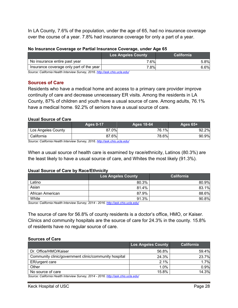In LA County, 7.6% of the population, under the age of 65, had no insurance coverage over the course of a year. 7.8% had insurance coverage for only a part of a year.

| No Insurance Coverage or Partial Insurance Coverage, under Age 65 |  |
|-------------------------------------------------------------------|--|
|-------------------------------------------------------------------|--|

|                                          | <b>Los Angeles County</b> | <b>California</b> |
|------------------------------------------|---------------------------|-------------------|
| No insurance entire past year            | 7.6%                      | 5.8%              |
| Insurance coverage only part of the year | 7.8%                      | 6.6%              |

*Source: California Health Interview Survey, 2016[. http://ask.chis.ucla.edu/](http://ask.chis.ucla.edu/)*

#### <span id="page-28-0"></span>**Sources of Care**

Residents who have a medical home and access to a primary care provider improve continuity of care and decrease unnecessary ER visits. Among the residents in LA County, 87% of children and youth have a usual source of care. Among adults, 76.1% have a medical home. 92.2% of seniors have a usual source of care.

#### **Usual Source of Care**

| <b>Ages 0-17</b> | Ages 18-64 | Ages $65+$                       |
|------------------|------------|----------------------------------|
|                  |            | 92.2%                            |
|                  |            | 90.9%                            |
|                  |            | 76.1%<br>87.0%<br>87.6%<br>78.6% |

*Source: California Health Interview Survey, 2016.<http://ask.chis.ucla.edu/>*

When a usual source of health care is examined by race/ethnicity, Latinos (80.3%) are the least likely to have a usual source of care, and Whites the most likely (91.3%).

#### **Usual Source of Care by Race/Ethnicity**

|                  | <b>Los Angeles County</b> | <b>California</b> |
|------------------|---------------------------|-------------------|
| Latino           | 80.3%                     | 80.9%             |
| Asian            | 81.4%                     | 83.1%             |
| African American | 87.9%                     | 88.6%             |
| White            | 91.3%                     | 90.8%             |

*Source: California Health Interview Survey, 2014 - 2016.<http://ask.chis.ucla.edu/>*

The source of care for 56.8% of county residents is a doctor's office, HMO, or Kaiser. Clinics and community hospitals are the source of care for 24.3% in the county. 15.8% of residents have no regular source of care.

#### **Sources of Care**

|                                                                                    | <b>Los Angeles County</b> | <b>California</b> |
|------------------------------------------------------------------------------------|---------------------------|-------------------|
| Dr. Office/HMO/Kaiser                                                              | 56.8%                     | 59.4%             |
| Community clinic/government clinic/community hospital                              | 24.3%                     | 23.7%             |
| ER/urgent care                                                                     | 2.1%                      | 1.7%              |
| Other                                                                              | $1.0\%$                   | 0.9%              |
| No source of care                                                                  | 15.8%                     | 14.3%             |
| Source: California Health Interview Survey, 2014 - 2016, http://ask.chis.ucla.edu/ |                           |                   |

*Source: California Health Interview Survey, 2014 - 2016.<http://ask.chis.ucla.edu/>*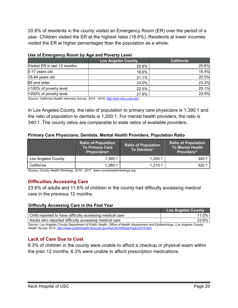20.8% of residents in the county visited an Emergency Room (ER) over the period of a year. Children visited the ER at the highest rates (18.6%). Residents at lower incomes visited the ER at higher percentages than the population as a whole.

|                              | <b>Los Angeles County</b> | <b>California</b> |  |
|------------------------------|---------------------------|-------------------|--|
| Visited ER in last 12 months | 20.8%                     | 20.6%             |  |
| 0-17 years old               | 18.6%                     | 19.4%             |  |
| 18-64 years old              | 21.1%                     | 20.5%             |  |
| 65 and older                 | 23.0%                     | 23.2%             |  |
| <100% of poverty level       | 22.5%                     | 25.1%             |  |
| <200% of poverty level       | 21.8%                     | 23.5%             |  |
|                              |                           |                   |  |

## **Use of Emergency Room by Age and Poverty Level**

*Source: California Health Interview Survey, 2014 - 2016.<http://ask.chis.ucla.edu/>*

In Los Angeles County, the ratio of population to primary care physicians is 1,390:1 and the ratio of population to dentists is 1,200:1. For mental health providers, the ratio is 340:1. The county ratios are comparable to state ratios of available providers.

### **Primary Care Physicians, Dentists, Mental Health Providers, Population Ratio**

|                    | <b>Ratio of Population</b><br>To Primary Care<br>Physicians+ | <b>Ratio of Population</b><br>To Dentists* | <b>Ratio of Population</b><br><b>To Mental Health</b><br>Providers <sup>^</sup> |
|--------------------|--------------------------------------------------------------|--------------------------------------------|---------------------------------------------------------------------------------|
| Los Angeles County | 1.390:1                                                      | 1.200:1                                    | 340:1                                                                           |
| California         | 1.280:1                                                      | 1,210:1                                    | 320:1                                                                           |

*Source: County Health Rankings, 2015 - 2017[. www.countyhealthrankings.org](http://www.countyhealthrankings.org/)*

## <span id="page-29-0"></span>**Difficulties Accessing Care**

23.6% of adults and 11.6% of children in the county had difficulty accessing medical care in the previous 12 months.

#### **Difficulty Accessing Care in the Past Year**

|                                                                                                                        | <b>Los Angeles County</b> |
|------------------------------------------------------------------------------------------------------------------------|---------------------------|
| Child reported to have difficulty accessing medical care                                                               | $11.0\%$                  |
| Adults who reported difficulty accessing medical care                                                                  | 23.6%」                    |
| Source: Los Angeles County Department of Public Health Office of Health Assessment and Enidemiology Los Angeles County |                           |

*Source: Los Angeles County Department of Public Health, Office of Health Assessment and Epidemiology, Los Angeles County Health Survey 2015[. http://www.publichealth.lacounty.gov/ha/LACHSDataTopics2015.htm](http://www.publichealth.lacounty.gov/ha/LACHSDataTopics2015.htm)*

## <span id="page-29-1"></span>**Lack of Care Due to Cost**

8.3% of children in the county were unable to afford a checkup or physical exam within the prior 12 months. 6.3% were unable to afford prescription medications.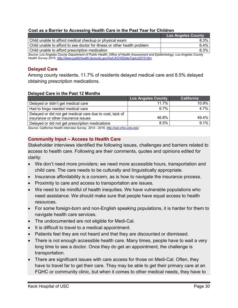#### **Cost as a Barrier to Accessing Health Care in the Past Year for Children**

|                                                                                                                          | <b>Los Angeles County</b> |
|--------------------------------------------------------------------------------------------------------------------------|---------------------------|
| Child unable to afford medical checkup or physical exam                                                                  | $8.3\%$                   |
| Child unable to afford to see doctor for illness or other health problem                                                 | $6.4\%$                   |
| l Child unable to afford prescription medication.                                                                        | 6.3%                      |
| Source: Los Angeles County Department of Public Health, Office of Health Assessment and Epidemiology, Los Angeles County |                           |

*Source: Los Angeles County Department of Public Health, Office of Health Assessment and Epidemiology, Los Angeles County Health Survey 2015[. http://www.publichealth.lacounty.gov/ha/LACHSDataTopics2015.htm](http://www.publichealth.lacounty.gov/ha/LACHSDataTopics2015.htm)*

## <span id="page-30-0"></span>**Delayed Care**

Among county residents, 11.7% of residents delayed medical care and 8.5% delayed obtaining prescription medications.

#### **Delayed Care in the Past 12 Months**

|                                                          | <b>Los Angeles County</b> | California |
|----------------------------------------------------------|---------------------------|------------|
| Delayed or didn't get medical care                       | 11.7%                     | 10.9%      |
| Had to forgo needed medical care                         | ჩ.7%                      | 4.7%       |
| Delayed or did not get medical care due to cost, lack of |                           |            |
| insurance or other insurance issues                      | 46.8%                     | 49.4%      |
| Delayed or did not get prescription medications          | 8.5%                      | 9.1%       |

*Source: California Health Interview Survey, 2014 - 2016.<http://ask.chis.ucla.edu/>*

#### <span id="page-30-1"></span>**Community Input – Access to Health Care**

Stakeholder interviews identified the following issues, challenges and barriers related to access to health care. Following are their comments, quotes and opinions edited for clarity:

- We don't need more providers; we need more accessible hours, transportation and child care. The care needs to be culturally and linguistically appropriate.
- Insurance affordability is a concern, as is how to navigate the insurance process.
- Proximity to care and access to transportation are issues.
- We need to be mindful of health inequities. We have vulnerable populations who need assistance. We should make sure that people have equal access to health resources.
- For some foreign-born and non-English speaking populations, it is harder for them to navigate health care services.
- The undocumented are not eligible for Medi-Cal.
- It is difficult to travel to a medical appointment.
- Patients feel they are not heard and that they are discounted or dismissed.
- There is not enough accessible health care. Many times, people have to wait a very long time to see a doctor. Once they do get an appointment, the challenge is transportation.
- There are significant issues with care access for those on Medi-Cal. Often, they have to travel far to get their care. They may be able to get their primary care at an FQHC or community clinic, but when it comes to other medical needs, they have to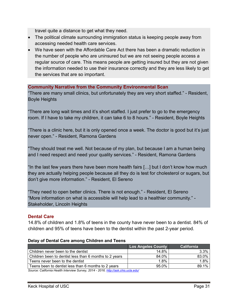travel quite a distance to get what they need.

- The political climate surrounding immigration status is keeping people away from accessing needed health care services.
- We have seen with the Affordable Care Act there has been a dramatic reduction in the number of people who are uninsured but we are not seeing people access a regular source of care. This means people are getting insured but they are not given the information needed to use their insurance correctly and they are less likely to get the services that are so important.

### **Community Narrative from the Community Environmental Scan**

"There are many small clinics, but unfortunately they are very short staffed." - Resident, Boyle Heights

"There are long wait times and it's short staffed. I just prefer to go to the emergency room. If I have to take my children, it can take 6 to 8 hours." - Resident, Boyle Heights

"There is a clinic here, but it is only opened once a week. The doctor is good but it's just never open." - Resident, Ramona Gardens

"They should treat me well. Not because of my plan, but because I am a human being and I need respect and need your quality services." - Resident, Ramona Gardens

"In the last few years there have been more health fairs […] but I don't know how much they are actually helping people because all they do is test for cholesterol or sugars, but don't give more information." - Resident, El Sereno

"They need to open better clinics. There is not enough." - Resident, El Sereno "More information on what is accessible will help lead to a healthier community." - Stakeholder, Lincoln Heights

#### <span id="page-31-0"></span>**Dental Care**

14.8% of children and 1.8% of teens in the county have never been to a dentist. 84% of children and 95% of teens have been to the dentist within the past 2-year period.

| <b>Los Angeles County</b> | <b>California</b> |
|---------------------------|-------------------|
| 14.8%                     | 3.3%              |
| 84.0%                     | 83.0%             |
| 1.8%                      | 1.8%              |
| $95.0\%$                  | 89.1%             |
|                           |                   |

#### **Delay of Dental Care among Children and Teens**

*Source: California Health Interview Survey, 2014 - 2016.<http://ask.chis.ucla.edu/>*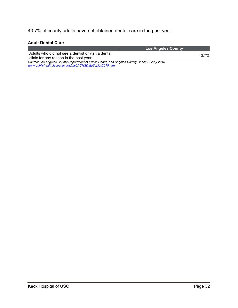40.7% of county adults have not obtained dental care in the past year.

#### **Adult Dental Care**

*[www.publichealth.lacounty.gov/ha/LACHSDataTopics2015.htm](http://www.publichealth.lacounty.gov/ha/LACHSDataTopics2015.htm)*

|                                                                                                | <b>Los Angeles County</b> |  |
|------------------------------------------------------------------------------------------------|---------------------------|--|
| Adults who did not see a dentist or visit a dental<br>clinic for any reason in the past year   | 40.7%                     |  |
| Source: Los Angeles County Department of Public Health, Los Angeles County Health Survey 2015. |                           |  |

**Keck Hospital of USC** Page 32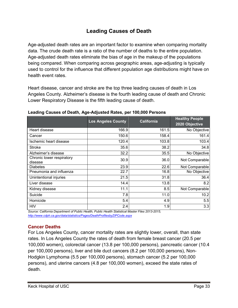# **Leading Causes of Death**

<span id="page-33-0"></span>Age-adjusted death rates are an important factor to examine when comparing mortality data. The crude death rate is a ratio of the number of deaths to the entire population. Age-adjusted death rates eliminate the bias of age in the makeup of the populations being compared. When comparing across geographic areas, age-adjusting is typically used to control for the influence that different population age distributions might have on health event rates.

Heart disease, cancer and stroke are the top three leading causes of death in Los Angeles County. Alzheimer's disease is the fourth leading cause of death and Chronic Lower Respiratory Disease is the fifth leading cause of death.

|                                      | <b>Los Angeles County</b> | <b>California</b> | <b>Healthy People</b><br>2020 Objective |
|--------------------------------------|---------------------------|-------------------|-----------------------------------------|
| Heart disease                        | 166.9                     | 161.5             | No Objective                            |
| Cancer                               | 150.6                     | 158.4             | 161.4                                   |
| Ischemic heart disease               | 120.4                     | 103.8             | 103.4                                   |
| Stroke                               | 35.6                      | 38.2              | 34.8                                    |
| Alzheimer's disease                  | 32.2                      | 35.5              | No Objective                            |
| Chronic lower respiratory<br>disease | 30.9                      | 36.0              | Not Comparable                          |
| <b>Diabetes</b>                      | 23.9                      | 22.6              | Not Comparable                          |
| Pneumonia and influenza              | 22.7                      | 16.8              | No Objective                            |
| Unintentional injuries               | 21.5                      | 31.8              | 36.4                                    |
| Liver disease                        | 14.4                      | 13.8              | 8.2                                     |
| Kidney disease                       | 11.1                      | 8.5               | Not Comparable                          |
| Suicide                              | 7.8                       | 11.0              | 10.2                                    |
| Homicide                             | 5.4                       | 4.9               | 5.5                                     |
| <b>HIV</b>                           | 2.4                       | 1.9               | 3.3                                     |

**Leading Causes of Death, Age-Adjusted Rates, per 100,000 Persons** 

*Source: California Department of Public Health, Public Health Statistical Master Files 2013-2015, <http://www.cdph.ca.gov/data/statistics/Pages/DeathProfilesbyZIPCode.aspx>*

# <span id="page-33-1"></span>**Cancer Deaths**

For Los Angeles County, cancer mortality rates are slightly lower, overall, than state rates. In Los Angeles County the rates of death from female breast cancer (20.5 per 100,000 women), colorectal cancer (13.8 per 100,000 persons), pancreatic cancer (10.4 per 100,000 persons), liver and bile duct cancers (8.2 per 100,000 persons), Non-Hodgkin Lymphoma (5.5 per 100,000 persons), stomach cancer (5.2 per 100,000 persons), and uterine cancers (4.8 per 100,000 women), exceed the state rates of death.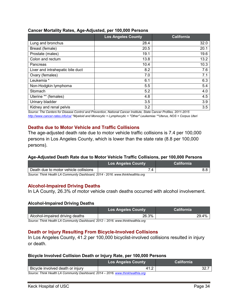#### **Cancer Mortality Rates, Age-Adjusted, per 100,000 Persons**

|                                  | <b>Los Angeles County</b> | <b>California</b> |
|----------------------------------|---------------------------|-------------------|
| Lung and bronchus                | 28.4                      | 32.0              |
| Breast (female)                  | 20.5                      | 20.1              |
| Prostate (males)                 | 19.1                      | 19.6              |
| Colon and rectum                 | 13.8                      | 13.2              |
| Pancreas                         | 10.4                      | 10.3              |
| Liver and intrahepatic bile duct | 8.2                       | 7.6               |
| Ovary (females)                  | 7.0                       | 7.1               |
| Leukemia *                       | 6.1                       | 6.3               |
| Non-Hodgkin lymphoma             | 5.5                       | 5.4               |
| Stomach                          | 5.2                       | 4.0               |
| Uterine ** (females)             | 4.8                       | 4.5               |
| Urinary bladder                  | 3.5                       | 3.9               |
| Kidney and renal pelvis          | 3.2                       | 3.5               |

*Source: The Centers for Disease Control and Prevention, National Cancer Institute, State Cancer Profiles, 2011-2015 <http://www.cancer-rates.info/ca/> \*Myeloid and Monocytic + Lymphocytic + "Other" Leukemias \*\*Uterus, NOS + Corpus Uteri*

## <span id="page-34-0"></span>**Deaths due to Motor Vehicle and Traffic Collisions**

The age-adjusted death rate due to motor vehicle traffic collisions is 7.4 per 100,000 persons in Los Angeles County, which is lower than the state rate (8.8 per 100,000 persons).

#### **Age-Adjusted Death Rate due to Motor Vehicle Traffic Collisions, per 100,000 Persons**

|                                       | <b>Los Angeles County</b> | California |
|---------------------------------------|---------------------------|------------|
| Death due to motor vehicle collisions |                           |            |
|                                       |                           |            |

*Source: Think Health LA Community Dashboard, 2014 - 2016. www.thinkhealthla.org*

#### <span id="page-34-1"></span>**Alcohol-Impaired Driving Deaths**

In LA County, 26.3% of motor vehicle crash deaths occurred with alcohol involvement.

#### **Alcohol-Impaired Driving Deaths**

|                                 | <b>Los Angeles County</b> | <b>California</b> |
|---------------------------------|---------------------------|-------------------|
| Alcohol-impaired driving deaths | 26.3%                     | 29.4%             |

*Source: Think Health LA Community Dashboard, 2012 – 2016. www.thinkhealthla.org*

#### <span id="page-34-2"></span>**Death or Injury Resulting From Bicycle-Involved Collisions**

In Los Angeles County, 41.2 per 100,000 bicyclist-involved collisions resulted in injury or death.

#### **Bicycle Involved Collision Death or Injury Rate, per 100,000 Persons**

|                                                                                 | <b>Los Angeles County</b> | <b>California</b> |
|---------------------------------------------------------------------------------|---------------------------|-------------------|
| Bicycle involved death or injury                                                | 41.2                      | 32.               |
| Source: Think Health LA Community Dashboard, 2014 – 2016, www.thinkhealthla.org |                           |                   |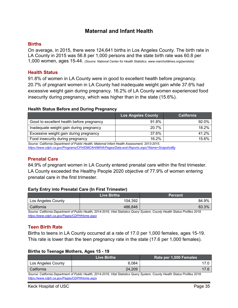# **Maternal and Infant Health**

### <span id="page-35-1"></span><span id="page-35-0"></span>**Births**

On average, in 2015, there were 124,641 births in Los Angeles County. The birth rate in LA County in 2015 was 56.8 per 1,000 persons and the state birth rate was 60.8 per 1,000 women, ages 15-44. *(Source: National Center for Health Statistics, www.marchofdimes.org/peristats)*

#### <span id="page-35-2"></span>**Health Status**

91.8% of women in LA County were in good to excellent health before pregnancy. 20.7% of pregnant women in LA County had inadequate weight gain while 37.6% had excessive weight gain during pregnancy. 16.2% of LA County women experienced food insecurity during pregnancy, which was higher than in the state (15.6%).

#### **Health Status Before and During Pregnancy**

|                                           | <b>Los Angeles County</b> | <b>California</b> |
|-------------------------------------------|---------------------------|-------------------|
| Good to excellent health before pregnancy | 91.8%                     | 92.0%             |
| Inadequate weight gain during pregnancy   | 20.7%                     | 18.2%             |
| Excessive weight gain during pregnancy    | 37.6%                     | 41.2%             |
| Food insecurity during pregnancy          | 16.2%                     | 15.6%             |

*Source: California Department of Public Health, Maternal Infant Health Assessment, 2013-2015. <https://www.cdph.ca.gov/Programs/CFH/DMCAH/MIHA/Pages/Data-and-Reports.aspx?Name=SnapshotBy>*

## <span id="page-35-3"></span>**Prenatal Care**

84.9% of pregnant women in LA County entered prenatal care within the first trimester. LA County exceeded the Healthy People 2020 objective of 77.9% of women entering prenatal care in the first trimester.

#### **Early Entry into Prenatal Care (In First Trimester)**

|                    | Live Births | <b>Percent</b> |
|--------------------|-------------|----------------|
| Los Angeles County | 104,392     | 84.9%          |
| California         | 486,846     | 83.3%          |

*Source: California Department of Public Health, 2014-2016, Vital Statistics Query System, County Health Status Profiles 2018. <https://www.cdph.ca.gov/Pages/CDPHHome.aspx>*

## <span id="page-35-4"></span>**Teen Birth Rate**

Births to teens in LA County occurred at a rate of 17.0 per 1,000 females, ages 15-19. This rate is lower than the teen pregnancy rate in the state (17.6 per 1,000 females).

#### **Births to Teenage Mothers, Ages 15 - 19**

|                                                                                                                               | <b>Live Births</b> | Rate per 1,000 Females |
|-------------------------------------------------------------------------------------------------------------------------------|--------------------|------------------------|
| Los Angeles County                                                                                                            | 6.084              |                        |
| California                                                                                                                    | 24.209             |                        |
| Source: California Department of Public Health. 2014-2016. Vital Statistics Query System. County Health Status Profiles 2018. |                    |                        |

*Source: California Department of Public Health, 2014-2016, Vital Statistics Query System, County Health Status Profiles 2018. <https://www.cdph.ca.gov/Pages/CDPHHome.aspx>*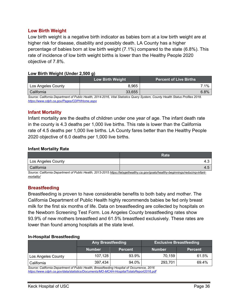#### <span id="page-36-0"></span>**Low Birth Weight**

Low birth weight is a negative birth indicator as babies born at a low birth weight are at higher risk for disease, disability and possibly death. LA County has a higher percentage of babies born at low birth weight (7.1%) compared to the state (6.8%). This rate of incidence of low birth weight births is lower than the Healthy People 2020 objective of 7.8%.

#### **Low Birth Weight (Under 2,500 g)**

|                    | <b>Low Birth Weight</b> | <b>Percent of Live Births</b> |
|--------------------|-------------------------|-------------------------------|
| Los Angeles County | 8.965                   | $1\%$                         |
| California         | 33,655                  | 6.8%                          |

*Source: California Department of Public Health, 2014-2016, Vital Statistics Query System, County Health Status Profiles 2018. <https://www.cdph.ca.gov/Pages/CDPHHome.aspx>*

### <span id="page-36-1"></span>**Infant Mortality**

Infant mortality are the deaths of children under one year of age. The infant death rate in the county is 4.3 deaths per 1,000 live births. This rate is lower than the California rate of 4.5 deaths per 1,000 live births. LA County fares better than the Healthy People 2020 objective of 6.0 deaths per 1,000 live births.

#### **Infant Mortality Rate**

|                    | <b>Rate</b> |
|--------------------|-------------|
| Los Angeles County | ــ +        |
| California         | $-4.5$      |

*Source: California Department of Public Health, 2013-2015 [https://letsgethealthy.ca.gov/goals/healthy-beginnings/reducing-infant](https://letsgethealthy.ca.gov/goals/healthy-beginnings/reducing-infant-mortality/)[mortality/](https://letsgethealthy.ca.gov/goals/healthy-beginnings/reducing-infant-mortality/)*

#### <span id="page-36-2"></span>**Breastfeeding**

Breastfeeding is proven to have considerable benefits to both baby and mother. The California Department of Public Health highly recommends babies be fed only breast milk for the first six months of life. Data on breastfeeding are collected by hospitals on the Newborn Screening Test Form. Los Angeles County breastfeeding rates show 93.9% of new mothers breastfeed and 61.5% breastfeed exclusively. These rates are lower than found among hospitals at the state level.

#### **In-Hospital Breastfeeding**

|                    | <b>Any Breastfeeding</b> |                | <b>Exclusive Breastfeeding</b> |                |
|--------------------|--------------------------|----------------|--------------------------------|----------------|
|                    | <b>Number</b>            | <b>Percent</b> | <b>Number</b>                  | <b>Percent</b> |
| Los Angeles County | 107,128                  | 93.9%          | 70.159                         | 61.5%          |
| California         | 397,434                  | 94.0%          | 293,701                        | 69.4%          |

*Source: California Department of Public Health, Breastfeeding Hospital of Occurrence, 2016 <https://www.cdph.ca.gov/data/statistics/Documents/MO-MCAH-HospitalTotalsReport2016.pdf>*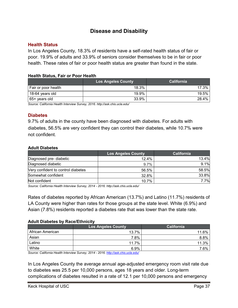# **Disease and Disability**

#### <span id="page-37-1"></span><span id="page-37-0"></span>**Health Status**

In Los Angeles County, 18.3% of residents have a self-rated health status of fair or poor. 19.9% of adults and 33.9% of seniors consider themselves to be in fair or poor health. These rates of fair or poor health status are greater than found in the state.

#### **Health Status, Fair or Poor Health**

|                     | <b>Los Angeles County</b> | <b>California</b> |
|---------------------|---------------------------|-------------------|
| Fair or poor health | 18.3%                     | 17.3%             |
| 18-64 years old     | 19.9%                     | 19.5%             |
| 65+ years old       | 33.9%                     | 28.4%             |

*Source: California Health Interview Survey, 2016. <http://ask.chis.ucla.edu/>*

#### <span id="page-37-2"></span>**Diabetes**

9.7% of adults in the county have been diagnosed with diabetes. For adults with diabetes, 56.5% are very confident they can control their diabetes, while 10.7% were not confident.

#### **Adult Diabetes**

|                                    | <b>Los Angeles County</b> | <b>California</b> |
|------------------------------------|---------------------------|-------------------|
| Diagnosed pre- diabetic            | 12.4%                     | 13.4%             |
| Diagnosed diabetic                 | 9.7%                      | 9.1%              |
| Very confident to control diabetes | 56.5%                     | 58.5%             |
| Somewhat confident                 | 32.8%                     | 33.8%             |
| Not confident                      | 10.7%                     | 7.7%              |

*Source: California Health Interview Survey, 2014 - 2016.<http://ask.chis.ucla.edu/>*

Rates of diabetes reported by African American (13.7%) and Latino (11.7%) residents of LA County were higher than rates for those groups at the state level. White (6.9%) and Asian (7.8%) residents reported a diabetes rate that was lower than the state rate.

#### **Adult Diabetes by Race/Ethnicity**

|                  | <b>Los Angeles County</b> | <b>California</b> |
|------------------|---------------------------|-------------------|
| African American | 13.7%                     | 11.6%             |
| Asian            | 7.8%                      | 8.8%              |
| Latino           | 11.7%                     | 11.3%             |
| White            | 6.9%                      | 7.6%              |

*Source: California Health Interview Survey, 2014 - 2016.<http://ask.chis.ucla.edu/>*

In Los Angeles County the average annual age-adjusted emergency room visit rate due to diabetes was 25.5 per 10,000 persons, ages 18 years and older. Long-term complications of diabetes resulted in a rate of 12.1 per 10,000 persons and emergency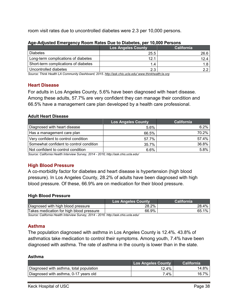room visit rates due to uncontrolled diabetes were 2.3 per 10,000 persons.

|                                      | Los Angeles County | <b>California</b> |
|--------------------------------------|--------------------|-------------------|
| <b>Diabetes</b>                      | 25.5               | 26.6              |
| Long-term complications of diabetes  | 12.1               | 12.4              |
| Short-term complications of diabetes | 1.4                |                   |
| Uncontrolled diabetes                | 2.3                |                   |

#### **Age-Adjusted Emergency Room Rates Due to Diabetes, per 10,000 Persons**

*Source: Think Health LA Community Dashboard, 2015[. http://ask.chis.ucla.edu/](http://ask.chis.ucla.edu/) www.thinkhealth;la.org*

#### <span id="page-38-0"></span>**Heart Disease**

For adults in Los Angeles County, 5.6% have been diagnosed with heart disease. Among these adults, 57.7% are very confident they can manage their condition and 66.5% have a management care plan developed by a health care professional.

#### **Adult Heart Disease**

|                                         | <b>Los Angeles County</b> | <b>California</b> |
|-----------------------------------------|---------------------------|-------------------|
| Diagnosed with heart disease            | 5.6%                      | 6.2%              |
| Has a management care plan              | 66.5%                     | 70.2%             |
| Very confident to control condition     | 57.7%                     | 57.4%             |
| Somewhat confident to control condition | 35.7%                     | 36.8%             |
| Not confident to control condition      | $6.6\%$                   | 5.8%              |

*Source: California Health Interview Survey, 2014 - 2016; <http://ask.chis.ucla.edu/>*

# <span id="page-38-1"></span>**High Blood Pressure**

A co-morbidity factor for diabetes and heart disease is hypertension (high blood pressure). In Los Angeles County, 28.2% of adults have been diagnosed with high blood pressure. Of these, 66.9% are on medication for their blood pressure.

#### **High Blood Pressure**

| Los Angeles County \ | California  |
|----------------------|-------------|
| 28.2%                | 28.4%       |
| 66.9%                | $1\%$<br>65 |
|                      |             |

*Source: California Health Interview Survey, 2014 - 2016.<http://ask.chis.ucla.edu/>*

## <span id="page-38-2"></span>**Asthma**

The population diagnosed with asthma in Los Angeles County is 12.4%. 43.8% of asthmatics take medication to control their symptoms. Among youth, 7.4% have been diagnosed with asthma. The rate of asthma in the county is lower than in the state.

#### **Asthma**

|                                         | <b>Los Angeles County</b> | <b>California</b> |
|-----------------------------------------|---------------------------|-------------------|
| Diagnosed with asthma, total population | 12.4%                     | 14.8% i           |
| Diagnosed with asthma, 0-17 years old   | 7.4%                      | $16.7\%$          |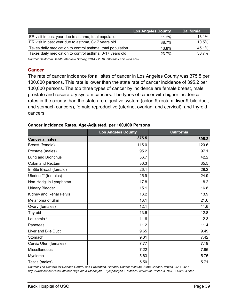|                                                            | <b>Los Angeles County</b> | <b>California</b> |
|------------------------------------------------------------|---------------------------|-------------------|
| ER visit in past year due to asthma, total population      | 11.2%                     | 13.1%             |
| ER visit in past year due to asthma, 0-17 years old        | 38.7%                     | 10.5%             |
| Takes daily medication to control asthma, total population | 43.8%                     | 45.1%             |
| Takes daily medication to control asthma, 0-17 years old   | 23.7%                     | 30.7%             |

*Source: California Health Interview Survey, 2014 - 2016.<http://ask.chis.ucla.edu/>*

#### <span id="page-39-0"></span>**Cancer**

The rate of cancer incidence for all sites of cancer in Los Angeles County was 375.5 per 100,000 persons. This rate is lower than the state rate of cancer incidence of 395.2 per 100,000 persons. The top three types of cancer by incidence are female breast, male prostate and respiratory system cancers. The types of cancer with higher incidence rates in the county than the state are digestive system (colon & rectum, liver & bile duct, and stomach cancers), female reproductive (uterine, ovarian, and cervical), and thyroid cancers.

# **Los Angeles County California Cancer all sites 375.5 395.2** Breast (female) 115.0 120.6 Prostate (males) 95.2 | 97.1 Lung and Bronchus  $\vert$  , the set of  $\vert$  and  $\vert$  36.7  $\vert$  . The set of  $\vert$  42.2  $\vert$ Colon and Rectum 36.3 35.5 In Situ Breast (female) 26.1 28.2 Uterine \*\* (females) 25.9 24.9 Non-Hodgkin Lymphoma 17.8 18.2 Urinary Bladder | 15.1 | 16.8 Kidney and Renal Pelvis 13.2  $\vert$  13.9  $\vert$ Melanoma of Skin 13.1 21.6 Ovary (females) 12.1 | 11.6  $\begin{array}{|c|c|c|c|c|}\hline \text{Thyroid} & & & \end{array} \hspace{1.2cm} \begin{array}{|c|c|c|c|c|c|}\hline \text{12.8}\ \hline \end{array} \hspace{1.2cm} \begin{array}{|c|c|c|c|c|c|}\hline \end{array} \hspace{1.2cm} \begin{array}{|c|c|c|c|c|c|}\hline \end{array} \hspace{1.2cm} \begin{array}{|c|c|c|c|c|c|}\hline \end{array} \hspace{1.2cm} \begin{array}{|c|c|c|c|c|c|}\hline \end{array}$ Leukemia \* 11.6 12.3 Pancreas 11.2 | 11.4 Liver and Bile Duct 9.65 9.49 Stomach 9.31 7.42 Cervix Uteri (females) 7.77 | 7.19 Miscellaneous 7.22 7.96 Myeloma 5.63 5.75 Testis (males) 5.50 | 5.71

#### **Cancer Incidence Rates, Age-Adjusted, per 100,000 Persons**

*Source: The Centers for Disease Control and Prevention, National Cancer Institute, State Cancer Profiles, 2011-2015 <http://www.cancer-rates.info/ca/> \*Myeloid & Monocytic + Lymphocytic + "Other" Leukemias \*\*Uterus, NOS + Corpus Uteri*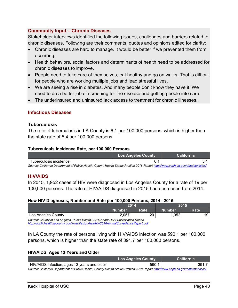## <span id="page-40-0"></span>**Community Input – Chronic Diseases**

Stakeholder interviews identified the following issues, challenges and barriers related to chronic diseases. Following are their comments, quotes and opinions edited for clarity:

- Chronic diseases are hard to manage. It would be better if we prevented them from occurring.
- Health behaviors, social factors and determinants of health need to be addressed for chronic diseases to improve.
- People need to take care of themselves, eat healthy and go on walks. That is difficult for people who are working multiple jobs and lead stressful lives.
- We are seeing a rise in diabetes. And many people don't know they have it. We need to do a better job of screening for the disease and getting people into care.
- The underinsured and uninsured lack access to treatment for chronic illnesses.

## <span id="page-40-1"></span>**Infectious Diseases**

#### <span id="page-40-2"></span>**Tuberculosis**

The rate of tuberculosis in LA County is 6.1 per 100,000 persons, which is higher than the state rate of 5.4 per 100,000 persons.

#### **Tuberculosis Incidence Rate, per 100,000 Persons**

|                                                                                                                                   | <b>Los Angeles County</b> | California |
|-----------------------------------------------------------------------------------------------------------------------------------|---------------------------|------------|
| uberculosis incidence                                                                                                             |                           |            |
| Source: California Department of Public Health, County Health Status Profiles 2018 Report http://www.cdph.ca.gov/data/statistics/ |                           |            |

*Source: California Department of Public Health, County Health Status Profiles 2018 Repor[t http://www.cdph.ca.gov/data/statistics/](http://www.cdph.ca.gov/data/statistics/)*

#### <span id="page-40-3"></span>**HIV/AIDS**

In 2015, 1,952 cases of HIV were diagnosed in Los Angeles County for a rate of 19 per 100,000 persons. The rate of HIV/AIDS diagnosed in 2015 had decreased from 2014.

#### **New HIV Diagnoses, Number and Rate per 100,000 Persons, 2014 - 2015**

|                                                                                   |        | 2014 |        | 2015        |
|-----------------------------------------------------------------------------------|--------|------|--------|-------------|
|                                                                                   | Number | Rate | Number | <b>Rate</b> |
| l Los Angeles County                                                              | 2,057  | 20   | 1,952  | 19          |
| Source: County of Los Angeles, Public Health, 2016 Annual HIV Sunreillance Report |        |      |        |             |

*Source: County of Los Angeles, Public Health, 2016 Annual HIV Surveillance Report <http://publichealth.lacounty.gov/wwwfiles/ph/hae/hiv/2016AnnualSurveillanceReport.pdf>*

In LA County the rate of persons living with HIV/AIDS infection was 590.1 per 100,000 persons, which is higher than the state rate of 391.7 per 100,000 persons.

#### **HIV/AIDS, Ages 13 Years and Older**

|                                                                                                                                   | <b>Los Angeles County</b> | <b>California</b> |
|-----------------------------------------------------------------------------------------------------------------------------------|---------------------------|-------------------|
| HIV/AIDS infection, ages 13 years and older                                                                                       | 590.                      |                   |
| Source: California Department of Public Health, County Health Status Profiles 2018 Penort http://www.odph.ca.gov/data/statistics/ |                           |                   |

*Source: California Department of Public Health, County Health Status Profiles 2018 Repor[t http://www.cdph.ca.gov/data/statistics/](http://www.cdph.ca.gov/data/statistics/)*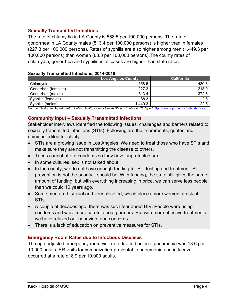## <span id="page-41-0"></span>**Sexually Transmitted Infections**

The rate of chlamydia in LA County is 558.5 per 100,000 persons. The rate of gonorrhea in LA County males (513.4 per 100,000 persons) is higher than in females (227.3 per 100,000 persons). Rates of syphilis are also higher among men (1,449.3 per 100,000 persons) than women (88.3 per 100,000 persons).The county rates of chlamydia, gonorrhea and syphilis in all cases are higher than state rates.

|                     | <b>Los Angeles County</b> | <b>California</b> |
|---------------------|---------------------------|-------------------|
| Chlamydia           | 558.5                     | 480.3             |
| Gonorrhea (females) | 227.3                     | 218.0             |
| Gonorrhea (males)   | 513.4                     | 372.6             |
| Syphilis (females)  | 88.3                      | 2.6               |
| Syphilis (males)    | 1,449.3                   | 22.5              |
| .<br>- - - - -      | $\cdots$<br>$\sim$ $\sim$ | .<br>.            |

#### **Sexually Transmitted Infections, 2014-2016**

Source: California Department of Public Health, County Health Status Profiles 2018 Report <http://www.cdph.ca.gov/data/statistics/>

## <span id="page-41-1"></span>**Community Input – Sexually Transmitted Infections**

Stakeholder interviews identified the following issues, challenges and barriers related to sexually transmitted infections (STIs). Following are their comments, quotes and opinions edited for clarity:

- STIs are a growing issue in Los Angeles. We need to treat those who have STIs and make sure they are not transmitting the disease to others.
- Teens cannot afford condoms so they have unprotected sex.
- In some cultures, sex is not talked about.
- In the county, we do not have enough funding for STI testing and treatment. STI prevention is not the priority it should be. With funding, the state still gives the same amount of funding, but with everything increasing in price, we can serve less people than we could 10 years ago.
- Some men are bisexual and very closeted, which places more women at risk of STIs.
- A couple of decades ago, there was such fear about HIV. People were using condoms and were more careful about partners. But with more effective treatments, we have relaxed our behaviors and concerns.
- There is a lack of education on preventive measures for STIs.

## <span id="page-41-2"></span>**Emergency Room Rates due to Infectious Diseases**

The age-adjusted emergency room visit rate due to bacterial pneumonia was 13.6 per 10,000 adults. ER visits for immunization-preventable pneumonia and influenza occurred at a rate of 8.9 per 10,000 adults.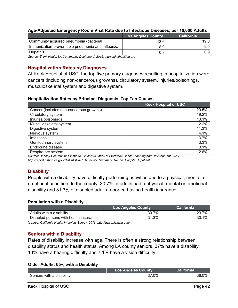|                                                  | <b>Los Angeles County</b> | <b>California</b> |
|--------------------------------------------------|---------------------------|-------------------|
| Community acquired pneumonia (bacterial)         | 13.6                      | 19.0              |
| Immunization-preventable pneumonia and influenza | 8.9                       | 9.5               |
| Hepatitis                                        |                           | 0.9               |

#### **Age-Adjusted Emergency Room Visit Rate due to Infectious Diseases, per 10,000 Adults**

*Source: Think Health LA Community Dashboard, 2015. www.thinkhealthla.org*

#### <span id="page-42-0"></span>**Hospitalization Rates by Diagnoses**

At Keck Hospital of USC, the top five primary diagnoses resulting in hospitalization were cancers (including non-cancerous growths), circulatory system, injuries/poisonings, musculoskeletal system and digestive system.

#### **Hospitalization Rates by Principal Diagnosis, Top Ten Causes**

|                                         | <b>Keck Hospital of USC</b> |
|-----------------------------------------|-----------------------------|
| Cancer (includes non-cancerous growths) | 20.5%                       |
| Circulatory system                      | 19.2%                       |
| Injuries/poisonings                     | 13.1%                       |
| Musculoskeletal system                  | 12.2%                       |
| Digestive system                        | 11.3%                       |
| Nervous system                          | 4.1%                        |
| <b>Infections</b>                       | 3.7%                        |
| Genitourinary system                    | 3.3%                        |
| Endocrine disease                       | 3.1%                        |
| Respiratory system                      | 2.6%                        |

*Source: Healthy Communities Institute, California Office of Statewide Health Planning and Development, 2017. [http://report.oshpd.ca.gov/?DID=PID&RID=Facility\\_Summary\\_Report\\_Hospital\\_Inpatient](http://report.oshpd.ca.gov/?DID=PID&RID=Facility_Summary_Report_Hospital_Inpatient)*

## <span id="page-42-1"></span>**Disability**

People with a disability have difficulty performing activities due to a physical, mental, or emotional condition. In the county, 30.7% of adults had a physical, mental or emotional disability and 31.3% of disabled adults reported having health insurance.

#### **Population with a Disability**

|                                        | <b>Los Angeles County</b> | California |
|----------------------------------------|---------------------------|------------|
| Adults with a disability               | 30.7%                     | 29.7%      |
| Disabled persons with health insurance | 31.3%                     | 30.1%      |

S*ource: California Health Interview Survey, 2016. <http://ask.chis.ucla.edu/>*

#### <span id="page-42-2"></span>**Seniors with a Disability**

Rates of disability increase with age. There is often a strong relationship between disability status and health status. Among LA county seniors, 37% have a disability. 13% have a hearing difficulty and 7.1% have a vision difficulty.

#### **Older Adults, 65+, with a Disability**

|                           | <b>Los Angeles County</b> | California |
|---------------------------|---------------------------|------------|
| Seniors with a disability | 37.0%                     | .0%<br>36. |
|                           |                           |            |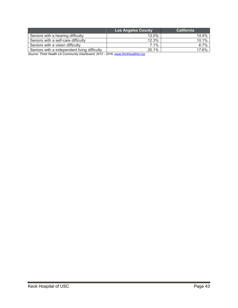|                                              | <b>Los Angeles County</b> | <b>California</b> |
|----------------------------------------------|---------------------------|-------------------|
| Seniors with a hearing difficulty            | 13.0%                     | 14.4%             |
| Seniors with a self-care difficulty          | 12.3%                     | 10.1%             |
| Seniors with a vision difficulty             | 7.1%                      | 6.7%              |
| Seniors with a independent living difficulty | 20.1%                     | 17.6%             |

*Source: Think Health LA Community Dashboard, 2012 - 2016. [www.thinkhealthla.org](http://www.thinkhealthla.org/)*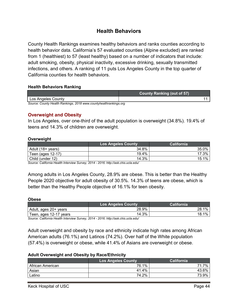# **Health Behaviors**

<span id="page-44-0"></span>County Health Rankings examines healthy behaviors and ranks counties according to health behavior data. California's 57 evaluated counties (Alpine excluded) are ranked from 1 (healthiest) to 57 (least healthy) based on a number of indicators that include: adult smoking, obesity, physical inactivity, excessive drinking, sexually transmitted infections, and others. A ranking of 11 puts Los Angeles County in the top quarter of California counties for health behaviors.

#### **Health Behaviors Ranking**

|                                                                   | <b>County Ranking (out of 57)</b> |  |
|-------------------------------------------------------------------|-----------------------------------|--|
| Los Angeles County                                                |                                   |  |
| Source: County Health Rankings, 2018 www.countyhealthrankings.org |                                   |  |

#### <span id="page-44-1"></span>**Overweight and Obesity**

In Los Angeles, over one-third of the adult population is overweight (34.8%). 19.4% of teens and 14.3% of children are overweight.

#### **Overweight**

|                   | <b>Los Angeles County</b> | California |
|-------------------|---------------------------|------------|
| Adult (18+ years) | 34.8%                     | 35.0%      |
| Teen (ages 12-17) | 19.4%                     | 17.3%      |
| Child (under 12)  | 14.3%                     | 15.1%      |

*Source: California Health Interview Survey, 2014 - 2016. <http://ask.chis.ucla.edu/>*

Among adults in Los Angeles County, 28.9% are obese. This is better than the Healthy People 2020 objective for adult obesity of 30.5%. 14.3% of teens are obese, which is better than the Healthy People objective of 16.1% for teen obesity.

#### **Obese**

|                         | <b>Los Angeles County</b> | California   |
|-------------------------|---------------------------|--------------|
| l Adult, ages 20+ years | 28.9%                     | $1\%$<br>28. |
| Teen, ages 12-17 years  | 14.3%                     | 1%<br>18.    |

*Source: California Health Interview Survey, 2014 - 2016[. http://ask.chis.ucla.edu/](http://ask.chis.ucla.edu/)*

Adult overweight and obesity by race and ethnicity indicate high rates among African American adults (76.1%) and Latinos (74.2%). Over half of the White population (57.4%) is overweight or obese, while 41.4% of Asians are overweight or obese.

#### **Adult Overweight and Obesity by Race/Ethnicity**

|                  | Los Angeles County | California |
|------------------|--------------------|------------|
| African American | 76.1%              | 7%<br>71   |
| Asian            | 41.4%              | 43.6%      |
| Latino           | 74.2%              | 73.9%      |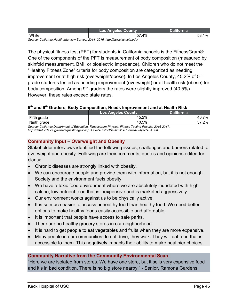|       | ns<br>ounty |                   |
|-------|-------------|-------------------|
| White | 4%<br>--    | 58<br>' U.<br>. . |

*Source: California Health Interview Survey, 2014 -2016[. http://ask.chis.ucla.edu/](http://ask.chis.ucla.edu/)*

The physical fitness test (PFT) for students in California schools is the FitnessGram®. One of the components of the PFT is measurement of body composition (measured by skinfold measurement, BMI, or bioelectric impedance). Children who do not meet the "Healthy Fitness Zone" criteria for body composition are categorized as needing improvement or at high risk (overweight/obese). In Los Angeles County, 45.2% of 5<sup>th</sup> grade students tested as needing improvement (overweight) or at health risk (obese) for body composition. Among  $9<sup>th</sup>$  graders the rates were slightly improved (40.5%). However, these rates exceed state rates.

### **5th and 9th Graders, Body Composition, Needs Improvement and at Health Risk**

|                                                                                                | <b>Los Angeles County</b> | California    |
|------------------------------------------------------------------------------------------------|---------------------------|---------------|
| Fifth grade                                                                                    | 45.2%                     | 7%<br>- 40. . |
| Ninth grade                                                                                    | 40.5%                     | $37.2\%$      |
| Causes: California Denortment of Education, Eitnessersm Physical Eitnese Testing Desulte, 2016 |                           |               |

*Source: California Department of Education, Fitnessgram Physical Fitness Testing Results, 2016-2017. <http://data1.cde.ca.gov/dataquest/page2.asp?Level=District&submit1=Submit&Subject=FitTest>*

# <span id="page-45-0"></span>**Community Input – Overweight and Obesity**

Stakeholder interviews identified the following issues, challenges and barriers related to overweight and obesity. Following are their comments, quotes and opinions edited for clarity:

- Chronic diseases are strongly linked with obesity.
- We can encourage people and provide them with information, but it is not enough. Society and the environment fuels obesity.
- We have a toxic food environment where we are absolutely inundated with high calorie, low nutrient food that is inexpensive and is marketed aggressively.
- Our environment works against us to be physically active.
- It is so much easier to access unhealthy food than healthy food. We need better options to make healthy foods easily accessible and affordable.
- It is important that people have access to safe parks.
- There are no healthy grocery stores in our neighborhood.
- It is hard to get people to eat vegetables and fruits when they are more expensive.
- Many people in our communities do not drive, they walk. They will eat food that is accessible to them. This negatively impacts their ability to make healthier choices.

## **Community Narrative from the Community Environmental Scan**

"Here we are isolated from stores. We have one store, but it sells very expensive food and it's in bad condition. There is no big store nearby." - Senior, Ramona Gardens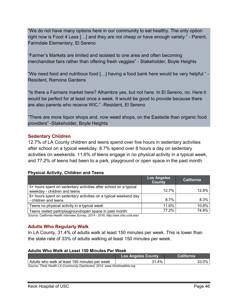"We do not have many options here in our community to eat healthy. The only option right now is Food 4 Less […] and they are not cheap or have enough variety." - Parent, Farmdale Elementary, El Sereno

"Farmer's Markets are limited and isolated to one area and often becoming merchandise fairs rather than offering fresh veggies" - Stakeholder, Boyle Heights

"We need food and nutritious food […] having a food bank here would be very helpful." - Resident, Ramona Gardens

"Is there a Farmers market here? Alhambra yes, but not here. In El Sereno, no. Here it would be perfect for at least once a week. It would be good to provide because there are also parents who receive WIC." -Resident, El Sereno

"There are more liquor shops and, now weed shops, on the Eastside than organic food providers" -Stakeholder, Boyle Heights

### <span id="page-46-0"></span>**Sedentary Children**

12.7% of LA County children and teens spend over five hours in sedentary activities after school on a typical weekday. 8.7% spend over 8 hours a day on sedentary activities on weekends. 11.6% of teens engage in no physical activity in a typical week, and 77.2% of teens had been to a park, playground or open space in the past month.

#### **Physical Activity, Children and Teens**

|                                                                                                  | Los Angeles<br><b>County</b> | <b>California</b> |
|--------------------------------------------------------------------------------------------------|------------------------------|-------------------|
| 5+ hours spent on sedentary activities after school on a typical<br>weekday - children and teens | 12.7%                        | 12.8%             |
| 8+ hours spent on sedentary activities on a typical weekend day<br>- children and teens          | 8.7%                         | 8.3%              |
| Teens no physical activity in a typical week                                                     | 11.6%                        | 10.8%             |
| Teens visited park/playground/open space in past month                                           | 77.2%                        | 74.8%             |

*Source: California Health Interview Survey, 2014 - 2016. http://ask.chis.ucla.edu/*

## <span id="page-46-1"></span>**Adults Who Regularly Walk**

In LA County, 31.4% of adults walk at least 150 minutes per week. This is lower than the state rate of 33% of adults walking at least 150 minutes per week.

#### **Adults Who Walk at Least 150 Minutes Per Week**

|                                                                          | <b>Los Angeles County</b> | <b>California</b> |  |
|--------------------------------------------------------------------------|---------------------------|-------------------|--|
| Adults who walk at least 150 minutes per week                            | 31.4%                     | $33.0\%$          |  |
| Source: Think Health LA Community Dashboard, 2014. www.thinkhealthla.org |                           |                   |  |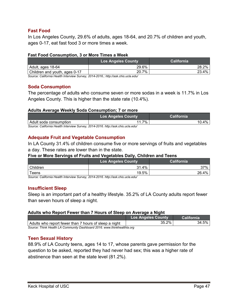## <span id="page-47-0"></span>**Fast Food**

In Los Angeles County, 29.6% of adults, ages 18-64, and 20.7% of children and youth, ages 0-17, eat fast food 3 or more times a week.

#### **Fast Food Consumption, 3 or More Times a Week**

| <b>Los Angeles County</b> | <b>California</b> |
|---------------------------|-------------------|
| 29.6%                     | $28.2\%$          |
| 20.7%                     | 23.4%             |
|                           |                   |

*Source: California Health Interview Survey, 2014-2016.[; http://ask.chis.ucla.edu/](http://ask.chis.ucla.edu/)*

## <span id="page-47-1"></span>**Soda Consumption**

The percentage of adults who consume seven or more sodas in a week is 11.7% in Los Angeles County. This is higher than the state rate (10.4%).

### **Adults Average Weekly Soda Consumption; 7 or more**

|                                                                                  | <b>Los Angeles County</b> | <b>California</b> |
|----------------------------------------------------------------------------------|---------------------------|-------------------|
| Adult soda consumption                                                           | 11.7%                     | $10.4\%$          |
| Source: California Health Interview Survey, 2014-2016. http://ask.chis.ucla.edu/ |                           |                   |

# <span id="page-47-2"></span>**Adequate Fruit and Vegetable Consumption**

In LA County 31.4% of children consume five or more servings of fruits and vegetables a day. These rates are lower than in the state.

#### **Five or More Servings of Fruits and Vegetables Daily, Children and Teens**

|             | <b>Los Angeles County</b> | California |
|-------------|---------------------------|------------|
| Children    | 31.4%                     | 37%        |
| $\tau$ eens | 19.5%                     | 26.4%      |

*Source: California Health Interview Survey, 2014-2016. http://ask.chis.ucla.edu/*

## <span id="page-47-3"></span>**Insufficient Sleep**

Sleep is an important part of a healthy lifestyle. 35.2% of LA County adults report fewer than seven hours of sleep a night.

#### **Adults who Report Fewer than 7 Hours of Sleep on Average a Night**

|                                                                         | <b>Los Angeles County</b> | California |  |
|-------------------------------------------------------------------------|---------------------------|------------|--|
| Adults who report fewer than 7 hours of sleep a night                   | 35.2%                     | 34.5%      |  |
| Source: Think Health LA Community Dashboard 2016, www.thinkhealthla.org |                           |            |  |

## <span id="page-47-4"></span>**Teen Sexual History**

88.9% of LA County teens, ages 14 to 17, whose parents gave permission for the question to be asked, reported they had never had sex; this was a higher rate of abstinence than seen at the state level (81.2%).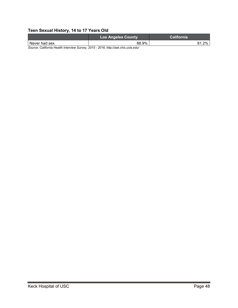# **Teen Sexual History, 14 to 17 Years Old**

|                                                                                    | <b>Los Angeles County</b> | California |
|------------------------------------------------------------------------------------|---------------------------|------------|
| Never had sex                                                                      | 88.9%                     | $2\%$      |
| Course: Colifornia Hoalth Intonsious Cunsou, 2015, 2016, http://oak.ohio.ualo.odu/ |                           |            |

*Source: California Health Interview Survey, 2015 - 2016. http://ask.chis.ucla.edu/*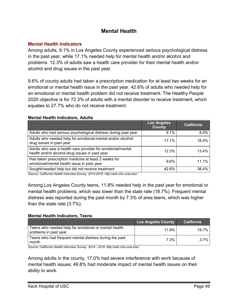# **Mental Health**

## <span id="page-49-1"></span><span id="page-49-0"></span>**Mental Health Indicators**

Among adults, 9.1% in Los Angeles County experienced serious psychological distress in the past year, while 17.1% needed help for mental health and/or alcohol and problems. 12.3% of adults saw a health care provider for their mental health and/or alcohol and drug issues in the past year.

9.6% of county adults had taken a prescription medication for at least two weeks for an emotional or mental health issue in the past year. 42.6% of adults who needed help for an emotional or mental health problem did not receive treatment. The Healthy People 2020 objective is for 72.3% of adults with a mental disorder to receive treatment, which equates to 27.7% who do not receive treatment.

### **Mental Health Indicators, Adults**

|                                                                                                              | <b>Los Angeles</b><br><b>County</b> | <b>California</b> |
|--------------------------------------------------------------------------------------------------------------|-------------------------------------|-------------------|
| Adults who had serious psychological distress during past year                                               | $9.1\%$                             | $8.0\%$           |
| Adults who needed help for emotional-mental and/or alcohol-<br>drug issues in past year                      | 17.1%                               | 16.4%             |
| Adults who saw a health care provider for emotional/mental<br>health and/or alcohol-drug issues in past year | 12.3%                               | 13.4%             |
| Has taken prescription medicine at least 2 weeks for<br>emotional/mental health issue in past year           | $9.6\%$                             | 11.1%             |
| Sought/needed help but did not receive treatment                                                             | 42.6%                               | 38.4%             |

*Source: California Health Interview Survey, 2014-2016. http://ask.chis.ucla.edu/*

Among Los Angeles County teens, 11.8% needed help in the past year for emotional or mental health problems, which was lower than the state rate (18.7%). Frequent mental distress was reported during the past month by 7.3% of area teens, which was higher than the state rate (3.7%).

## **Mental Health Indicators, Teens**

|                                                                               | <b>Los Angeles County</b> | California |
|-------------------------------------------------------------------------------|---------------------------|------------|
| Teens who needed help for emotional or mental health<br>problems in past year | 11.8%                     | 18.7%      |
| Teens who had frequent mental distress during the past<br>month               | 7.3%                      | $3.7\%$    |

*Source: California Health Interview Survey, 2014 - 2016. http://ask.chis.ucla.edu/*

Among adults in the county, 17.0% had severe interference with work because of mental health issues; 49.8% had moderate impact of mental health issues on their ability to work.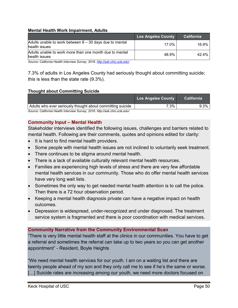#### **Mental Health Work Impairment, Adults**

|                                                                            | Los Angeles County | <b>California</b> |
|----------------------------------------------------------------------------|--------------------|-------------------|
| Adults unable to work between $8 - 30$ days due to mental<br>health issues | 17.0%              | 16.9%             |
| Adults unable to work more than one month due to mental<br>health issues   | 48.9%              | 42.4%             |

*Source: California Health Interview Survey, 2016. <http://ask.chis.ucla.edu/>*

7.3% of adults in Los Angeles County had seriously thought about committing suicide; this is less than the state rate (9.3%).

#### **Thought about Committing Suicide**

|                                                            | Los Angeles County | <b>California</b> |
|------------------------------------------------------------|--------------------|-------------------|
| Adults who ever seriously thought about committing suicide | $7.3\%$            | $9.3\%$           |
|                                                            |                    |                   |

*Source: California Health Interview Survey, 2016. http://ask.chis.ucla.edu/*

#### <span id="page-50-0"></span>**Community Input – Mental Health**

Stakeholder interviews identified the following issues, challenges and barriers related to mental health. Following are their comments, quotes and opinions edited for clarity:

- It is hard to find mental health providers.
- Some people with mental health issues are not inclined to voluntarily seek treatment.
- There continues to be stigma around mental health.
- There is a lack of available culturally relevant mental health resources.
- Families are experiencing high levels of stress and there are very few affordable mental health services in our community. Those who do offer mental health services have very long wait lists.
- Sometimes the only way to get needed mental health attention is to call the police. Then there is a 72 hour observation period.
- Keeping a mental health diagnosis private can have a negative impact on health outcomes.
- Depression is widespread, under-recognized and under diagnosed. The treatment service system is fragmented and there is poor coordination with medical services.

## **Community Narrative from the Community Environmental Scan**

"There is very little mental health staff at the clinics in our communities. You have to get a referral and sometimes the referral can take up to two years so you can get another appointment" - Resident, Boyle Heights

"We need mental health services for our youth. I am on a waiting list and there are twenty people ahead of my son and they only call me to see if he's the same or worse. [...] Suicide rates are increasing among our youth, we need more doctors focused on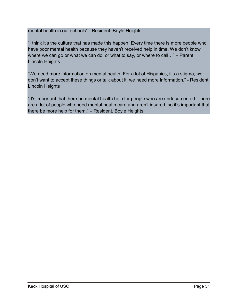mental health in our schools" - Resident, Boyle Heights

"I think it's the culture that has made this happen. Every time there is more people who have poor mental health because they haven't received help in time. We don't know where we can go or what we can do, or what to say, or where to call…" – Parent, Lincoln Heights

"We need more information on mental health. For a lot of Hispanics, it's a stigma, we don't want to accept these things or talk about it, we need more information." - Resident, Lincoln Heights

"It's important that there be mental health help for people who are undocumented. There are a lot of people who need mental health care and aren't insured, so it's important that there be more help for them." – Resident, Boyle Heights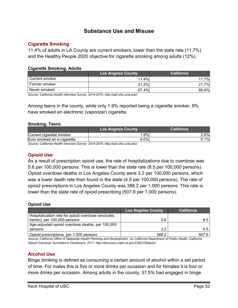# **Substance Use and Misuse**

### <span id="page-52-1"></span><span id="page-52-0"></span>**Cigarette Smoking**

11.4% of adults in LA County are current smokers, lower than the state rate (11.7%) and the Healthy People 2020 objective for cigarette smoking among adults (12%).

#### **Cigarette Smoking, Adults**

|                | <b>Los Angeles County</b> | California |
|----------------|---------------------------|------------|
| Current smoker | $11.4\%$                  | 7%         |
| Former smoker  | 21.2%                     | 7%<br>21   |
| Never smoked   | 67.4%                     | 66.6%      |

*Source: California Health Interview Survey, 2014-2016. http://ask.chis.ucla.edu/*

Among teens in the county, while only 1.9% reported being a cigarette smoker, 9% have smoked an electronic (vaporizer) cigarette.

#### **Smoking, Teens**

|                                                                                                                                         | <b>Los Angeles County</b> | <b>California</b> |
|-----------------------------------------------------------------------------------------------------------------------------------------|---------------------------|-------------------|
| Current cigarette smoker                                                                                                                | .9%                       | 2.6%              |
| Ever smoked an e-cigarette                                                                                                              | 9.0%                      | $9.1\%$           |
| $\bigcap$ $\bigcap$ ifferent is the different set of $\bigcap$ in the $\bigcap$ and a $\bigcap$ and $\bigcap$ $I$ is it is not a set of |                           |                   |

*Source: California Health Interview Survey, 2014-2016. http://ask.chis.ucla.edu/*

## <span id="page-52-2"></span>**Opioid Use**

As a result of prescription opioid use, the rate of hospitalizations due to overdose was 5.6 per 100,000 persons. This is lower than the state rate (8.5 per 100,000 persons). Opioid overdose deaths in Los Angeles County were 3.2 per 100,000 persons, which was a lower death rate than found in the state (4.5 per 100,000 persons). The rate of opioid prescriptions in Los Angeles County was 388.2 per 1,000 persons. This rate is lower than the state rate of opioid prescribing (507.6 per 1,000 persons).

#### **Opioid Use**

|                                                    | <b>Los Angeles County</b> | <b>California</b> |
|----------------------------------------------------|---------------------------|-------------------|
| Hospitalization rate for opioid overdose (excludes |                           |                   |
| heroin), per 100,000 persons                       | 5.6                       | 8.5               |
| Age-adjusted opioid overdose deaths, per 100,000   |                           |                   |
| persons                                            | 3.2                       | 4.5               |
| Opioid prescriptions, per 1,000 persons            | 388.2                     | 507.6             |

*Source: California Office of Statewide Health Planning and Development, via California Department of Public Health, California Opioid Overdose Surveillance Dashboard, 2017. http://discovery.cdph.ca.gov/CDIC/ODdash/* 

## <span id="page-52-3"></span>**Alcohol Use**

Binge drinking is defined as consuming a certain amount of alcohol within a set period of time. For males this is five or more drinks per occasion and for females it is four or more drinks per occasion. Among adults in the county, 37.5% had engaged in binge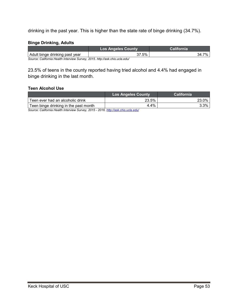drinking in the past year. This is higher than the state rate of binge drinking (34.7%).

#### **Binge Drinking, Adults**

| $.5\%$ | 7%<br>34.7 |
|--------|------------|
|        |            |

*Source: California Health Interview Survey, 2015. http://ask.chis.ucla.edu/*

23.5% of teens in the county reported having tried alcohol and 4.4% had engaged in binge drinking in the last month.

#### **Teen Alcohol Use**

|                                       | <b>Los Angeles County</b> | <b>California</b> |
|---------------------------------------|---------------------------|-------------------|
| Teen ever had an alcoholic drink      | 23.5%                     | 23.0%             |
| Teen binge drinking in the past month | 4.4%                      | 3.3%              |

*Source: California Health Interview Survey, 2015 - 2016. <http://ask.chis.ucla.edu/>*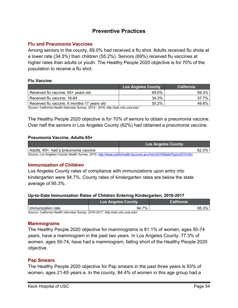# **Preventive Practices**

### <span id="page-54-1"></span><span id="page-54-0"></span>**Flu and Pneumonia Vaccines**

Among seniors in the county, 69.0% had received a flu shot. Adults received flu shots at a lower rate (34.3%) than children (55.2%). Seniors (69%) received flu vaccines at higher rates than adults or youth. The Healthy People 2020 objective is for 70% of the population to receive a flu shot.

#### **Flu Vaccine**

|                                             | <b>Los Angeles County</b> | <b>California</b> |
|---------------------------------------------|---------------------------|-------------------|
| Received flu vaccine, 65+ years old         | 69.0%                     | 69.3%             |
| Received flu vaccine, 18-64                 | 34.3%                     | 37.7%             |
| Received flu vaccine, 6 months-17 years old | 55.2%                     | 49.6%             |

*Source: California Health Interview Survey, 2014 - 2016. http://ask.chis.ucla.edu/*

The Healthy People 2020 objective is for 70% of seniors to obtain a pneumonia vaccine. Over half the seniors in Los Angeles County (62%) had obtained a pneumonia vaccine.

#### **Pneumonia Vaccine, Adults 65+**

|                                                                                                                 | <b>Los Angeles County</b> |
|-----------------------------------------------------------------------------------------------------------------|---------------------------|
| Adults, 65+, had a pneumonia vaccine                                                                            | 62.0%                     |
| Source: Los Angeles County Health Survey, 2015. http://www.publichealth.lacounty.gov/ha/LACHSDataTopics2015.htm |                           |

## <span id="page-54-2"></span>**Immunization of Children**

Los Angeles County rates of compliance with immunizations upon entry into kindergarten were 94.7%. County rates of kindergarten rates are below the state average of 95.3%.

#### **Up-to-Date Immunization Rates of Children Entering Kindergarten, 2016-2017**

|                   | <b>Los Angeles County</b> | California |
|-------------------|---------------------------|------------|
| Immunization rate | 7%<br>94.7                | 3%<br>95.  |

*Source: California Health Interview Survey, 2016-2017. http://ask.chis.ucla.edu/*

#### <span id="page-54-3"></span>**Mammograms**

The Healthy People 2020 objective for mammograms is 81.1% of women, ages 50-74 years, have a mammogram in the past two years. In Los Angeles County, 77.3% of women, ages 50-74, have had a mammogram, falling short of the Healthy People 2020 objective.

#### <span id="page-54-4"></span>**Pap Smears**

The Healthy People 2020 objective for Pap smears in the past three years is 93% of women, ages 21-65 years e. In the county, 84.4% of women in this age group had a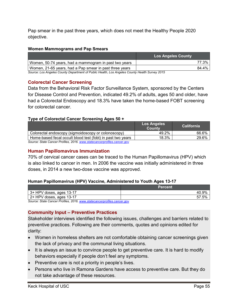Pap smear in the past three years, which does not meet the Healthy People 2020 objective.

#### **Women Mammograms and Pap Smears**

|                                                                                             | <b>Los Angeles County</b> |
|---------------------------------------------------------------------------------------------|---------------------------|
| Women, 50-74 years, had a mammogram in past two years                                       | 77.3%                     |
| Women, 21-65 years, had a Pap smear in past three years                                     | 84.4%                     |
| Causey Lee Annales Causty Department of Dublie Hoolth Lee Annales Causty Hoolth Cunicy 2015 |                           |

*Source: Los Angeles County Department of Public Health, Los Angeles County Health Survey 2015*

## <span id="page-55-0"></span>**Colorectal Cancer Screening**

Data from the Behavioral Risk Factor Surveillance System, sponsored by the Centers for Disease Control and Prevention, indicated 49.2% of adults, ages 50 and older, have had a Colorectal Endoscopy and 18.3% have taken the home-based FOBT screening for colorectal cancer.

### **Type of Colorectal Cancer Screening Ages 50 +**

|                                                                         | <b>Los Angeles</b><br><b>County</b> | California |
|-------------------------------------------------------------------------|-------------------------------------|------------|
| Colorectal endoscopy (sigmoidoscopy or colonoscopy)                     | 49.2%                               | 66.6%      |
| Home-based fecal occult blood test (fobt) in past two years             | 18.3%                               | 29.6%      |
| Source: State Cancer Profiles, 2016, www.statecancerprofiles.cancer.gov |                                     |            |

*Source: State Cancer Profiles, 2016. [www.statecancerprofiles.cancer.gov](http://www.statecancerprofiles.cancer.gov/)*

## <span id="page-55-1"></span>**Human Papillomavirus Immunization**

70% of cervical cancer cases can be traced to the Human Papillomavirus (HPV) which is also linked to cancer in men. In 2006 the vaccine was initially administered in three doses, in 2014 a new two-dose vaccine was approved.

#### **Human Papillomavirus (HPV) Vaccine, Administered to Youth Ages 13-17**

|                                                                         | <b>Percent</b> |
|-------------------------------------------------------------------------|----------------|
| $3+$ HPV doses, ages 13-17                                              | 40.9%          |
| 2+ HPV doses, ages 13-17                                                | 57.5%          |
| Source: State Cancer Profiles, 2016, www.statecancerprofiles.cancer.gov |                |

*Source: State Cancer Profiles, 2016. [www.statecancerprofiles.cancer.gov](http://www.statecancerprofiles.cancer.gov/)*

#### <span id="page-55-2"></span>**Community Input – Preventive Practices**

Stakeholder interviews identified the following issues, challenges and barriers related to preventive practices. Following are their comments, quotes and opinions edited for clarity:

- Women in homeless shelters are not comfortable obtaining cancer screenings given the lack of privacy and the communal living situations.
- It is always an issue to convince people to get preventive care. It is hard to modify behaviors especially if people don't feel any symptoms.
- Preventive care is not a priority in people's lives.
- Persons who live in Ramona Gardens have access to preventive care. But they do not take advantage of these resources.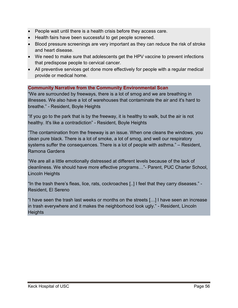- People wait until there is a health crisis before they access care.
- Health fairs have been successful to get people screened.
- Blood pressure screenings are very important as they can reduce the risk of stroke and heart disease.
- We need to make sure that adolescents get the HPV vaccine to prevent infections that predispose people to cervical cancer.
- All preventive services get done more effectively for people with a regular medical provide or medical home.

## **Community Narrative from the Community Environmental Scan**

"We are surrounded by freeways, there is a lot of smog and we are breathing in illnesses. We also have a lot of warehouses that contaminate the air and it's hard to breathe." - Resident, Boyle Heights

"If you go to the park that is by the freeway, it is healthy to walk, but the air is not healthy. It's like a contradiction" - Resident, Boyle Heights

"The contamination from the freeway is an issue. When one cleans the windows, you clean pure black. There is a lot of smoke, a lot of smog, and well our respiratory systems suffer the consequences. There is a lot of people with asthma." – Resident, Ramona Gardens

"We are all a little emotionally distressed at different levels because of the lack of cleanliness. We should have more effective programs…"- Parent, PUC Charter School, Lincoln Heights

"In the trash there's fleas, lice, rats, cockroaches [..] I feel that they carry diseases." - Resident, El Sereno

"I have seen the trash last weeks or months on the streets […] I have seen an increase in trash everywhere and it makes the neighborhood look ugly." - Resident, Lincoln **Heights**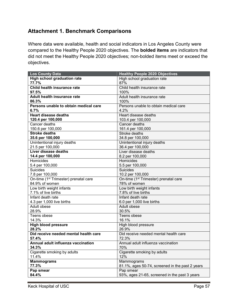# <span id="page-57-0"></span>**Attachment 1. Benchmark Comparisons**

Where data were available, health and social indicators in Los Angeles County were compared to the Healthy People 2020 objectives. The **bolded items** are indicators that did not meet the Healthy People 2020 objectives; non-bolded items meet or exceed the objectives.

| <b>Los County Data</b>                            | <b>Healthy People 2020 Objectives</b>             |
|---------------------------------------------------|---------------------------------------------------|
| <b>High school graduation rate</b>                | High school graduation rate                       |
| 77.7%                                             | 87%                                               |
| Child health insurance rate                       | Child health insurance rate                       |
| 97.5%                                             | 100%                                              |
| Adult health insurance rate                       | Adult health insurance rate                       |
| 86.3%                                             | 100%                                              |
| Persons unable to obtain medical care             | Persons unable to obtain medical care             |
| 6.7%                                              | 4.2%                                              |
| <b>Heart disease deaths</b>                       | Heart disease deaths                              |
| 120.4 per 100,000                                 | 103.4 per 100,000                                 |
| Cancer deaths                                     | Cancer deaths                                     |
| 150.6 per 100,000                                 | 161.4 per 100,000                                 |
| <b>Stroke deaths</b>                              | Stroke deaths                                     |
| 35.6 per 100,000                                  | 34.8 per 100,000                                  |
| Unintentional injury deaths                       | Unintentional injury deaths                       |
| 21.5 per 100,000                                  | 36.4 per 100,000                                  |
| Liver disease deaths                              | Liver disease deaths                              |
| 14.4 per 100,000                                  | 8.2 per 100,000                                   |
| Homicides                                         | Homicides                                         |
| 5.4 per 100,000                                   | 5.5 per 100,000                                   |
| <b>Suicides</b>                                   | <b>Suicides</b>                                   |
| 7.8 per 100,000                                   | 10.2 per 100,000                                  |
| On-time (1 <sup>st</sup> Trimester) prenatal care | On-time (1 <sup>st</sup> Trimester) prenatal care |
| 84.9% of women                                    | 78% of women                                      |
| Low birth weight infants                          | Low birth weight infants                          |
| 7.1% of live births                               | 7.8% of live births                               |
| Infant death rate                                 | Infant death rate                                 |
| 4.3 per 1,000 live births                         | 6.0 per 1,000 live births                         |
| Adult obese                                       | Adult obese                                       |
| 28.9%                                             | 30.5%                                             |
| Teens obese                                       | Teens obese                                       |
| 14.3%                                             | 16.1%                                             |
| <b>High blood pressure</b>                        | High blood pressure                               |
| 28.2%                                             | 26.9%                                             |
| Did receive needed mental health care             | Did receive needed mental health care             |
| 57.4%                                             | 72.3%                                             |
| Annual adult influenza vaccination                | Annual adult influenza vaccination                |
| 34.3%                                             | 70%                                               |
| Cigarette smoking by adults                       | Cigarette smoking by adults                       |
| 11.4%                                             | 12%                                               |
| <b>Mammograms</b>                                 | Mammograms                                        |
| 77.3%                                             | 81.1%, ages 50-74, screened in the past 2 years   |
| Pap smear                                         | Pap smear                                         |
| 84.4%                                             | 93%, ages 21-65, screened in the past 3 years     |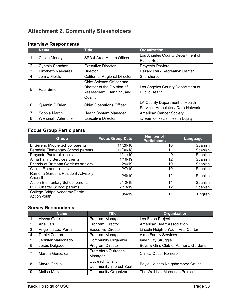# <span id="page-58-0"></span>**Attachment 2. Community Stakeholders**

|                 | <b>Name</b>        | <b>Title</b>                    | Organization                            |
|-----------------|--------------------|---------------------------------|-----------------------------------------|
| 1               | Cristin Mondy      | SPA 4 Area Health Officer       | Los Angeles County Department of        |
|                 |                    |                                 | <b>Public Health</b>                    |
| $\overline{2}$  | Cynthia Sanchez    | <b>Executive Director</b>       | Proyecto Pastoral                       |
| 3               | Elizabeth Naevarez | <b>Director</b>                 | <b>Hazard Park Recreation Center</b>    |
| 4               | Jenna Fields       | California Regional Director    | Sharsheret                              |
|                 |                    | Chief Science Officer and       |                                         |
| 5               | Paul Simon         | Director of the Division of     | Los Angeles County Department of        |
|                 |                    | Assessment, Planning, and       | <b>Public Health</b>                    |
|                 |                    | Quality                         |                                         |
| 6               |                    |                                 | LA County Department of Health          |
| Quentin O'Brien |                    | <b>Chief Operations Officer</b> | <b>Services Ambulatory Care Network</b> |
| $\overline{7}$  | Sophia Martini     | Health System Manager           | <b>American Cancer Society</b>          |
| 8               | Wenonah Valentine  | <b>Executive Director</b>       | iDream of Racial Health Equity          |

# **Interview Respondents**

# **Focus Group Participants**

| Group                                         | <b>Focus Group Date</b> | <b>Number of</b><br><b>Participants</b> | Language |
|-----------------------------------------------|-------------------------|-----------------------------------------|----------|
| El Sereno Middle School parents               | 11/29/18                | 10                                      | Spanish  |
| Ferndale Elementary School parents            | 11/30/18                | 11                                      | Spanish  |
| Proyecto Pastoral clients                     | 1/11/19                 | 9                                       | Spanish  |
| Alma Family Services clients                  | 1/16/19                 | 12                                      | Spanish  |
| <b>Friends of Ramona Gardens seniors</b>      | 2/6/19                  | 10                                      | Spanish  |
| Clinica Romero clients                        | 2/7/19                  | 10                                      | Spanish  |
| Ramona Gardens Resident Advisory<br>Council   | 2/8/19                  | 12                                      | Spanish  |
| Albion Elementary School parents              | 2/12/19                 | 11                                      | Spanish  |
| PUC Charter School parents                    | 2/13/19                 | 12                                      | Spanish  |
| College Bridge Academy Barrio<br>Action youth | 3/4/19                  | 11                                      | English  |

# **Survey Respondents**

|                | <b>Name</b>        | <b>Title</b>                                      | <b>Organization</b>                 |
|----------------|--------------------|---------------------------------------------------|-------------------------------------|
|                | Alyssa Garcia      | Program Manager                                   | Los Fotos Project                   |
| $\overline{2}$ | Ana Carr           | Program Director                                  | <b>American Heart Association</b>   |
| 3              | Angelica Loa Perez | <b>Executive Director</b>                         | Lincoln Heights Youth Arts Center   |
| 4              | Daniel Zamora      | Program Manager                                   | <b>Alma Family Services</b>         |
| 5              | Jennifer Maldonado | <b>Community Organizer</b>                        | Inner City Struggle                 |
| 6              | Jesus Delgado      | Program Director                                  | Boys & Girls Club of Ramona Gardens |
|                | Martha Gonzalez    | Promotora Outreach<br>Manager                     | Clinica Oscar Romero                |
| 8              | Mayra Carillo      | Outreach Chair,<br><b>Community Interest Seat</b> | Boyle Heights Neighborhood Council  |
| 9              | Melisa Meza        | <b>Community Organizer</b>                        | The Wall Las Memorias Project       |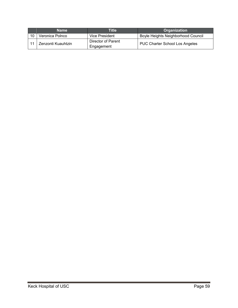|    | <b>Name</b>        | Title                            | <b>Organization</b>                   |
|----|--------------------|----------------------------------|---------------------------------------|
| 10 | Veronica Polnco    | Vice President                   | Boyle Heights Neighborhood Council    |
|    | Zenzonti Kuauhtzin | Director of Parent<br>Engagement | <b>PUC Charter School Los Angeles</b> |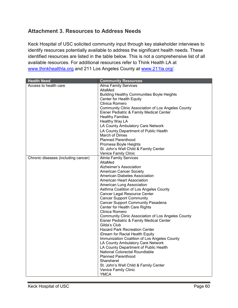# <span id="page-60-0"></span>**Attachment 3. Resources to Address Needs**

Keck Hospital of USC solicited community input through key stakeholder interviews to identify resources potentially available to address the significant health needs. These identified resources are listed in the table below. This is not a comprehensive list of all available resources. For additional resources refer to Think Health LA at [www.thinkhealthla.org](http://www.thinkhealthla.org/) and 211 Los Angeles County at [www.211la.org/.](http://www.211la.org/)

| <b>Health Need</b>                  | <b>Community Resources</b>                                |
|-------------------------------------|-----------------------------------------------------------|
| Access to health care               | <b>Alma Family Services</b>                               |
|                                     | AltaMed                                                   |
|                                     | <b>Building Healthy Communities Boyle Heights</b>         |
|                                     | Center for Health Equity                                  |
|                                     | Clinica Romero                                            |
|                                     | <b>Community Clinic Association of Los Angeles County</b> |
|                                     | Eisner Pediatric & Family Medical Center                  |
|                                     | <b>Healthy Families</b>                                   |
|                                     | Healthy Way LA                                            |
|                                     | LA County Ambulatory Care Network                         |
|                                     | LA County Department of Public Health                     |
|                                     | March of Dimes                                            |
|                                     | <b>Planned Parenthood</b>                                 |
|                                     | Promesa Boyle Heights                                     |
|                                     | St. John's Well Child & Family Center                     |
|                                     | Venice Family Clinic                                      |
| Chronic diseases (including cancer) | <b>Almla Family Services</b>                              |
|                                     | AltaMed                                                   |
|                                     | Alzheimer's Association                                   |
|                                     | <b>American Cancer Society</b>                            |
|                                     | American Diabetes Association                             |
|                                     | American Heart Association                                |
|                                     | American Lung Association                                 |
|                                     | Asthma Coalition of Los Angeles County                    |
|                                     | <b>Cancer Legal Resource Center</b>                       |
|                                     | <b>Cancer Support Community</b>                           |
|                                     | <b>Cancer Support Community Pasadena</b>                  |
|                                     | Center for Health Care Rights                             |
|                                     | Clinica Romero                                            |
|                                     | <b>Community Clinic Association of Los Angeles County</b> |
|                                     | Eisner Pediatric & Family Medical Center                  |
|                                     | Gilda's Club                                              |
|                                     | <b>Hazard Park Recreation Center</b>                      |
|                                     | iDream for Racial Health Equity                           |
|                                     | Immunization Coalition of Los Angeles County              |
|                                     | LA County Ambulatory Care Network                         |
|                                     | LA County Department of Public Health                     |
|                                     | National Colorectal Roundtable                            |
|                                     | <b>Planned Parenthood</b>                                 |
|                                     | Sharsheret                                                |
|                                     | St. John's Well Child & Family Center                     |
|                                     | Venice Family Clinic                                      |
|                                     | <b>YMCA</b>                                               |
|                                     |                                                           |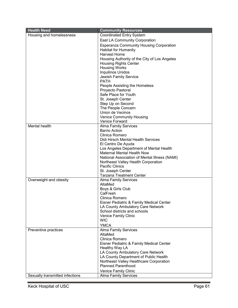| <b>Health Need</b>              | <b>Community Resources</b>                                                    |
|---------------------------------|-------------------------------------------------------------------------------|
| Housing and homelessness        | <b>Coordinated Entry System</b>                                               |
|                                 | <b>East LA Community Corporation</b>                                          |
|                                 | <b>Esperanza Community Housing Corporation</b>                                |
|                                 | <b>Habitat for Humanity</b>                                                   |
|                                 | <b>Harvest Home</b>                                                           |
|                                 | Housing Authority of the City of Los Angeles                                  |
|                                 | <b>Housing Rights Center</b>                                                  |
|                                 | <b>Housing Works</b>                                                          |
|                                 | Inquilinos Unidos                                                             |
|                                 | Jewish Family Service                                                         |
|                                 | <b>PATH</b>                                                                   |
|                                 | People Assisting the Homeless                                                 |
|                                 | Proyecto Pastoral                                                             |
|                                 | Safe Place for Youth                                                          |
|                                 | St. Joseph Center                                                             |
|                                 | Step Up on Second                                                             |
|                                 | The People Concern                                                            |
|                                 | Union de Vecinos                                                              |
|                                 | <b>Venice Community Housing</b>                                               |
| <b>Mental health</b>            | Venice Forward                                                                |
|                                 | <b>Alma Family Services</b><br><b>Barrio Action</b>                           |
|                                 | Clinica Romero                                                                |
|                                 | Didi Hirsch Mental Health Services                                            |
|                                 | El Centro De Ayuda                                                            |
|                                 | Los Angeles Department of Mental Health                                       |
|                                 | <b>Maternal Mental Health Now</b>                                             |
|                                 | National Association of Mental Illness (NAMI)                                 |
|                                 | Northeast Valley Health Corporation                                           |
|                                 | <b>Pacific Clinics</b>                                                        |
|                                 | St. Joseph Center                                                             |
|                                 | <b>Tarzana Treatment Center</b>                                               |
| Overweight and obesity          | <b>Alma Family Services</b>                                                   |
|                                 | AltaMed                                                                       |
|                                 | Boys & Girls Club                                                             |
|                                 | CalFresh                                                                      |
|                                 | Clinica Romero                                                                |
|                                 | Eisner Pediatric & Family Medical Center<br>LA County Ambulatory Care Network |
|                                 | School districts and schools                                                  |
|                                 | Venice Family Clinic                                                          |
|                                 | <b>WIC</b>                                                                    |
|                                 | <b>YMCA</b>                                                                   |
| Preventive practices            | <b>Alma Family Services</b>                                                   |
|                                 | AltaMed                                                                       |
|                                 | Clinica Romero                                                                |
|                                 | Eisner Pediatric & Family Medical Center                                      |
|                                 | Healthy Way LA                                                                |
|                                 | LA County Ambulatory Care Network                                             |
|                                 | LA County Department of Public Health                                         |
|                                 | Northeast Valley Healthcare Corporation                                       |
|                                 | <b>Planned Parenthood</b>                                                     |
|                                 | Venice Family Clinic                                                          |
| Sexually transmitted infections | <b>Alma Family Services</b>                                                   |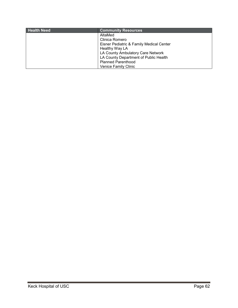| <b>Health Need</b> | <b>Community Resources</b>               |
|--------------------|------------------------------------------|
|                    | AltaMed                                  |
|                    | Clinica Romero                           |
|                    | Eisner Pediatric & Family Medical Center |
|                    | Healthy Way LA                           |
|                    | LA County Ambulatory Care Network        |
|                    | LA County Department of Public Health    |
|                    | <b>Planned Parenthood</b>                |
|                    | <b>Venice Family Clinic</b>              |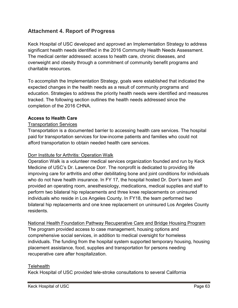# <span id="page-63-0"></span>**Attachment 4. Report of Progress**

Keck Hospital of USC developed and approved an Implementation Strategy to address significant health needs identified in the 2016 Community Health Needs Assessment. The medical center addressed: access to health care, chronic diseases, and overweight and obesity through a commitment of community benefit programs and charitable resources.

To accomplish the Implementation Strategy, goals were established that indicated the expected changes in the health needs as a result of community programs and education. Strategies to address the priority health needs were identified and measures tracked. The following section outlines the health needs addressed since the completion of the 2016 CHNA.

## **Access to Health Care**

### Transportation Services

Transportation is a documented barrier to accessing health care services. The hospital paid for transportation services for low-income patients and families who could not afford transportation to obtain needed health care services.

#### Dorr Institute for Arthritis: Operation Walk

Operation Walk is a volunteer medical services organization founded and run by Keck Medicine of USC's Dr. Lawrence Dorr. The nonprofit is dedicated to providing life improving care for arthritis and other debilitating bone and joint conditions for individuals who do not have health insurance. In FY 17, the hospital hosted Dr. Dorr's team and provided an operating room, anesthesiology, medications, medical supplies and staff to perform two bilateral hip replacements and three knee replacements on uninsured individuals who reside in Los Angeles County. In FY18, the team performed two bilateral hip replacements and one knee replacement on uninsured Los Angeles County residents.

#### National Health Foundation Pathway Recuperative Care and Bridge Housing Program

The program provided access to case management, housing options and comprehensive social services, in addition to medical oversight for homeless individuals. The funding from the hospital system supported temporary housing, housing placement assistance, food, supplies and transportation for persons needing recuperative care after hospitalization.

#### **Telehealth**

Keck Hospital of USC provided tele-stroke consultations to several California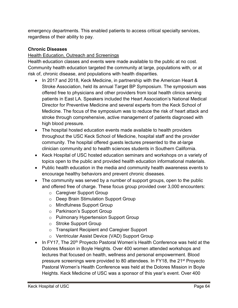emergency departments. This enabled patients to access critical specialty services, regardless of their ability to pay.

# **Chronic Diseases**

## **Health Education, Outreach and Screenings**

Health education classes and events were made available to the public at no cost. Community health education targeted the community at large, populations with, or at risk of, chronic disease, and populations with health disparities.

- In 2017 and 2018, Keck Medicine, in partnership with the American Heart & Stroke Association, held its annual Target BP Symposium. The symposium was offered free to physicians and other providers from local health clinics serving patients in East LA. Speakers included the Heart Association's National Medical Director for Preventive Medicine and several experts from the Keck School of Medicine. The focus of the symposium was to reduce the risk of heart attack and stroke through comprehensive, active management of patients diagnosed with high blood pressure.
- The hospital hosted education events made available to health providers throughout the USC Keck School of Medicine, hospital staff and the provider community. The hospital offered guests lectures presented to the at-large clinician community and to health sciences students in Southern California.
- Keck Hospital of USC hosted education seminars and workshops on a variety of topics open to the public and provided health education informational materials.
- Public health education in the media and community health awareness events to encourage healthy behaviors and prevent chronic diseases.
- The community was served by a number of support groups, open to the public and offered free of charge. These focus group provided over 3,000 encounters:
	- o Caregiver Support Group
	- o Deep Brain Stimulation Support Group
	- o Mindfulness Support Group
	- o Parkinson's Support Group
	- o Pulmonary Hypertension Support Group
	- o Stroke Support Group
	- o Transplant Recipient and Caregiver Support
	- o Ventricular Assist Device (VAD) Support Group
- In FY17, The 20<sup>th</sup> Proyecto Pastoral Women's Health Conference was held at the Dolores Mission in Boyle Heights. Over 400 women attended workshops and lectures that focused on health, wellness and personal empowerment. Blood pressure screenings were provided to 80 attendees. In FY18, the 21<sup>st</sup> Proyecto Pastoral Women's Health Conference was held at the Dolores Mission in Boyle Heights. Keck Medicine of USC was a sponsor of this year's event. Over 400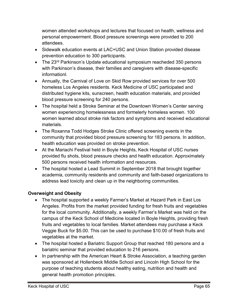women attended workshops and lectures that focused on health, wellness and personal empowerment. Blood pressure screenings were provided to 200 attendees.

- Sidewalk education events at LAC+USC and Union Station provided disease prevention education to 300 participants.
- The 23<sup>rd</sup> Parkinson's Update educational symposium reacheded 350 persons with Parkinson's disease, their families and caregivers with disease-specific informationl.
- Annually, the Carnival of Love on Skid Row provided services for over 500 homeless Los Angeles residents. Keck Medicine of USC participated and distributed hygiene kits, sunscreen, health education materials, and provided blood pressure screening for 240 persons.
- The hospital held a Stroke Seminar at the Downtown Women's Center serving women experiencing homelessness and formelerly homeless women. 100 women learned about stroke risk factors and symptoms and received educational materials.
- The Roxanna Todd Hodges Stroke Clinic offered screening events in the community that provided blood pressure screening for 183 persons. In addition, health education was provided on stroke prevention.
- At the Mariachi Festival held in Boyle Heights, Keck Hospital of USC nurses provided flu shots, blood pressure checks and health education. Approximately 500 persons received health information and resources.
- The hospital hosted a Lead Summit in September 2018 that brought together academia, community residents and community and faith-based organizations to address lead toxicity and clean up in the neighboring communities.

# **Overweight and Obesity**

- The hospital supported a weekly Farmer's Market at Hazard Park in East Los Angeles. Profits from the market provided funding for fresh fruits and vegetables for the local community. Additionally, a weekly Farmer's Market was held on the campus of the Keck School of Medicine located in Boyle Heights, providing fresh fruits and vegetables to local families. Market attendees may purchase a Keck Veggie Buck for \$5.00. This can be used to purchase \$10.00 of fresh fruits and vegetables at the market.
- The hospital hosted a Bariatric Support Group that reached 180 persons and a bariatric seminar that provided education to 216 persons.
- In partnership with the American Heart & Stroke Association, a teaching garden was sponsored at Hollenbeck Middle School and Lincoln High School for the purpose of teaching students about healthy eating, nutrition and health and general health promotion principles.